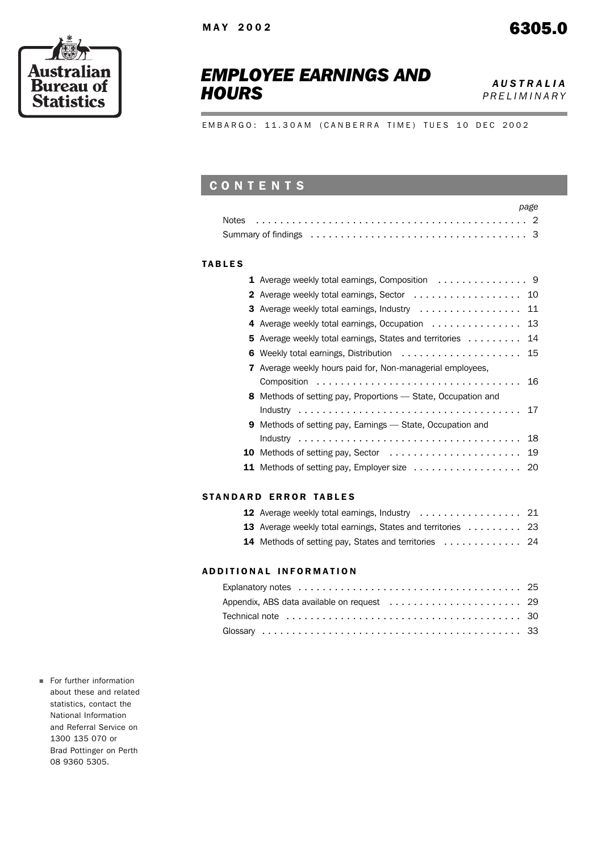



# *EMPLOYEE EARNINGS AND* **HOURS** *HOURS*

*PRELIMINARY*

EMBARGO: 11.30AM (CANBERRA TIME) TUES 10 DEC 2002

# CONTENTS

|  |  |  |  |  |  |  |  |  |  |  |  |  |  |  |  |  |  | page |
|--|--|--|--|--|--|--|--|--|--|--|--|--|--|--|--|--|--|------|
|  |  |  |  |  |  |  |  |  |  |  |  |  |  |  |  |  |  |      |
|  |  |  |  |  |  |  |  |  |  |  |  |  |  |  |  |  |  |      |

### TABLES

|                                                                   | 10                                                                                                                                                                                                       |
|-------------------------------------------------------------------|----------------------------------------------------------------------------------------------------------------------------------------------------------------------------------------------------------|
|                                                                   | 11                                                                                                                                                                                                       |
|                                                                   | 13                                                                                                                                                                                                       |
| 5 Average weekly total earnings, States and territories           | 14                                                                                                                                                                                                       |
|                                                                   | 15                                                                                                                                                                                                       |
| 7 Average weekly hours paid for, Non-managerial employees,        |                                                                                                                                                                                                          |
|                                                                   | 16                                                                                                                                                                                                       |
| 8 Methods of setting pay, Proportions - State, Occupation and     |                                                                                                                                                                                                          |
|                                                                   | 17                                                                                                                                                                                                       |
| <b>9</b> Methods of setting pay, Earnings — State, Occupation and |                                                                                                                                                                                                          |
|                                                                   | 18                                                                                                                                                                                                       |
|                                                                   | 19                                                                                                                                                                                                       |
|                                                                   |                                                                                                                                                                                                          |
|                                                                   | 2 Average weekly total earnings, Sector<br>3 Average weekly total earnings, Industry<br>4 Average weekly total earnings, Occupation $\dots\dots\dots\dots\dots$<br>6 Weekly total earnings, Distribution |

### STANDARD ERROR TABLES

| 13 Average weekly total earnings, States and territories  23 |  |
|--------------------------------------------------------------|--|
| 14 Methods of setting pay, States and territories  24        |  |

### ADDITIONAL INFORMATION

For further information about these and related statistics, contact the National Information and Referral Service on 1300 135 070 or Brad Pottinger on Perth 08 9360 5305.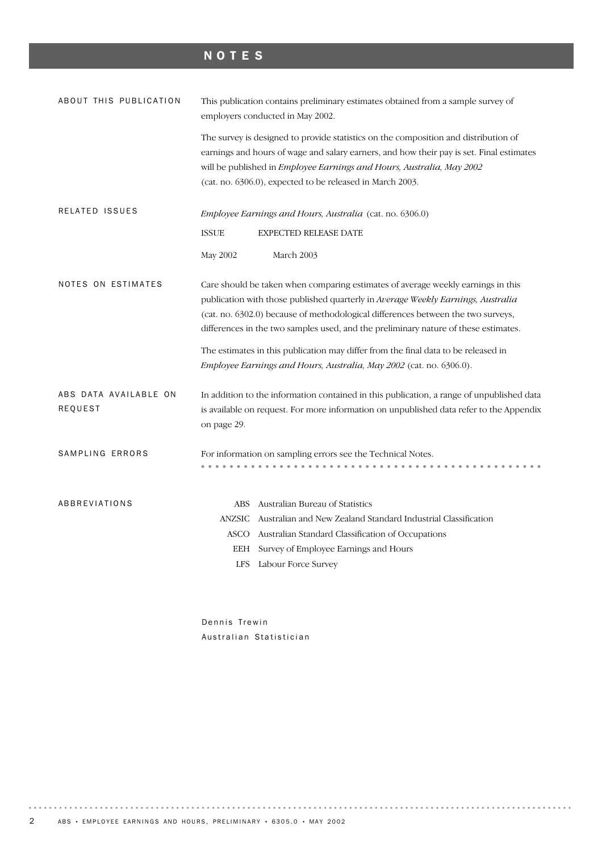# NOTES

| ABOUT THIS PUBLICATION           | This publication contains preliminary estimates obtained from a sample survey of<br>employers conducted in May 2002.                                                                                                                                                                                                                            |
|----------------------------------|-------------------------------------------------------------------------------------------------------------------------------------------------------------------------------------------------------------------------------------------------------------------------------------------------------------------------------------------------|
|                                  | The survey is designed to provide statistics on the composition and distribution of<br>earnings and hours of wage and salary earners, and how their pay is set. Final estimates<br>will be published in Employee Earnings and Hours, Australia, May 2002<br>(cat. no. 6306.0), expected to be released in March 2003.                           |
| RELATED ISSUES                   | <i>Employee Earnings and Hours, Australia</i> (cat. no. 6306.0)                                                                                                                                                                                                                                                                                 |
|                                  | <b>ISSUE</b><br>EXPECTED RELEASE DATE                                                                                                                                                                                                                                                                                                           |
|                                  | May 2002<br>March 2003                                                                                                                                                                                                                                                                                                                          |
| NOTES ON ESTIMATES               | Care should be taken when comparing estimates of average weekly earnings in this<br>publication with those published quarterly in Average Weekly Earnings, Australia<br>(cat. no. 6302.0) because of methodological differences between the two surveys,<br>differences in the two samples used, and the preliminary nature of these estimates. |
|                                  | The estimates in this publication may differ from the final data to be released in<br>Employee Earnings and Hours, Australia, May 2002 (cat. no. 6306.0).                                                                                                                                                                                       |
| ABS DATA AVAILABLE ON<br>REQUEST | In addition to the information contained in this publication, a range of unpublished data<br>is available on request. For more information on unpublished data refer to the Appendix<br>on page 29.                                                                                                                                             |
| SAMPLING ERRORS                  | For information on sampling errors see the Technical Notes.                                                                                                                                                                                                                                                                                     |
| ABBREVIATIONS                    | Australian Bureau of Statistics<br>ABS<br><b>ANZSIC</b><br>Australian and New Zealand Standard Industrial Classification<br>Australian Standard Classification of Occupations<br>ASCO<br>Survey of Employee Earnings and Hours<br><b>EEH</b><br>Labour Force Survey<br><b>LFS</b>                                                               |

Dennis Trewin Australian Statistician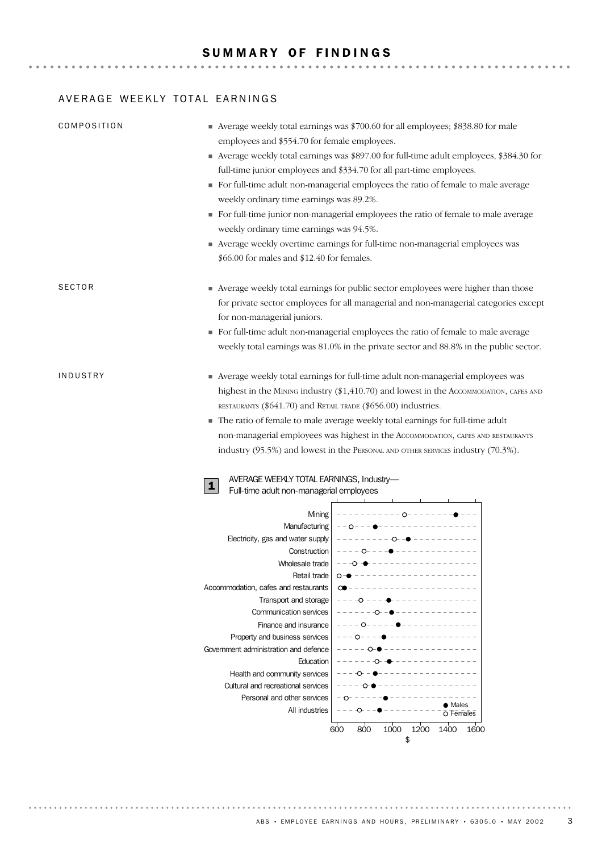## AVERAGE WEEKLY TOTAL EARNINGS

| COMPOSITION   | ■ Average weekly total earnings was \$700.60 for all employees; \$838.80 for male<br>employees and \$554.70 for female employees.<br>Average weekly total earnings was \$897.00 for full-time adult employees, \$384.30 for<br>full-time junior employees and \$334.70 for all part-time employees.<br>For full-time adult non-managerial employees the ratio of female to male average<br>weekly ordinary time earnings was 89.2%.<br>For full-time junior non-managerial employees the ratio of female to male average<br>weekly ordinary time earnings was 94.5%.<br>Average weekly overtime earnings for full-time non-managerial employees was<br>\$66.00 for males and \$12.40 for females. |
|---------------|---------------------------------------------------------------------------------------------------------------------------------------------------------------------------------------------------------------------------------------------------------------------------------------------------------------------------------------------------------------------------------------------------------------------------------------------------------------------------------------------------------------------------------------------------------------------------------------------------------------------------------------------------------------------------------------------------|
| <b>SECTOR</b> | Average weekly total earnings for public sector employees were higher than those<br>for private sector employees for all managerial and non-managerial categories except<br>for non-managerial juniors.<br>• For full-time adult non-managerial employees the ratio of female to male average<br>weekly total earnings was 81.0% in the private sector and 88.8% in the public sector.                                                                                                                                                                                                                                                                                                            |
| INDUSTRY      | • Average weekly total earnings for full-time adult non-managerial employees was<br>highest in the MINING industry (\$1,410.70) and lowest in the AccomMODATION, CAFES AND<br>RESTAURANTS (\$641.70) and RETAIL TRADE (\$656.00) industries.<br>The ratio of female to male average weekly total earnings for full-time adult<br>non-managerial employees was highest in the AccommodaTION, CAFES AND RESTAURANTS<br>industry (95.5%) and lowest in the PERSONAL AND OTHER SERVICES industry (70.3%).<br>AVERAGE WEEKLY TOTAL EARNINGS, Industry-<br>1<br>Full-time adult non-managerial employees                                                                                                |
|               | Mining<br>Manufacturing $\vert -0 - - - \bullet - - - \vert$<br>Electricity, gas and water supply<br>– – – – − <del>O−</del> –●<br>---- 0------------------<br>Construction<br>-------------------------<br>Wholesale trade<br>Retail trade<br>Accommodation, cafes and restaurants<br>Transport and storage<br><b>Communication services</b><br>Finance and insurance<br>Property and business services<br>Government administration and defence<br>Education<br>Health and community services<br>Cultural and recreational services<br>Personal and other services<br>$\bullet$ Males<br>All industries<br>O Females<br>800<br>1000<br>1200<br>1400<br>600<br>1600<br>\$                        |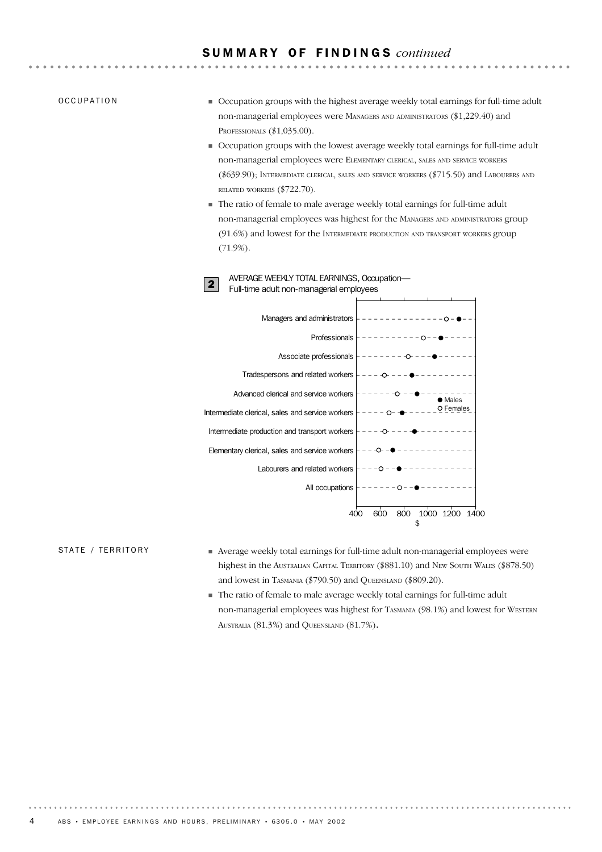### S U M M A R Y O F F I N D I N G S *continued*

### OCCUPATION

- Occupation groups with the highest average weekly total earnings for full-time adult non-managerial employees were MANAGERS AND ADMINISTRATORS (\$1,229.40) and PROFESSIONALS (\$1,035.00).
- Occupation groups with the lowest average weekly total earnings for full-time adult non-managerial employees were ELEMENTARY CLERICAL, SALES AND SERVICE WORKERS (\$639.90); INTERMEDIATE CLERICAL, SALES AND SERVICE WORKERS (\$715.50) and LABOURERS AND RELATED WORKERS (\$722.70).
- The ratio of female to male average weekly total earnings for full-time adult non-managerial employees was highest for the MANAGERS AND ADMINISTRATORS group (91.6%) and lowest for the INTERMEDIATE PRODUCTION AND TRANSPORT WORKERS group (71.9%).





### STATE / TERRITORY

- Average weekly total earnings for full-time adult non-managerial employees were highest in the AUSTRALIAN CAPITAL TERRITORY (\$881.10) and NEW SOUTH WALES (\$878.50) and lowest in TASMANIA (\$790.50) and QUEENSLAND (\$809.20).
- The ratio of female to male average weekly total earnings for full-time adult non-managerial employees was highest for TASMANIA (98.1%) and lowest for WESTERN AUSTRALIA (81.3%) and QUEENSLAND (81.7%).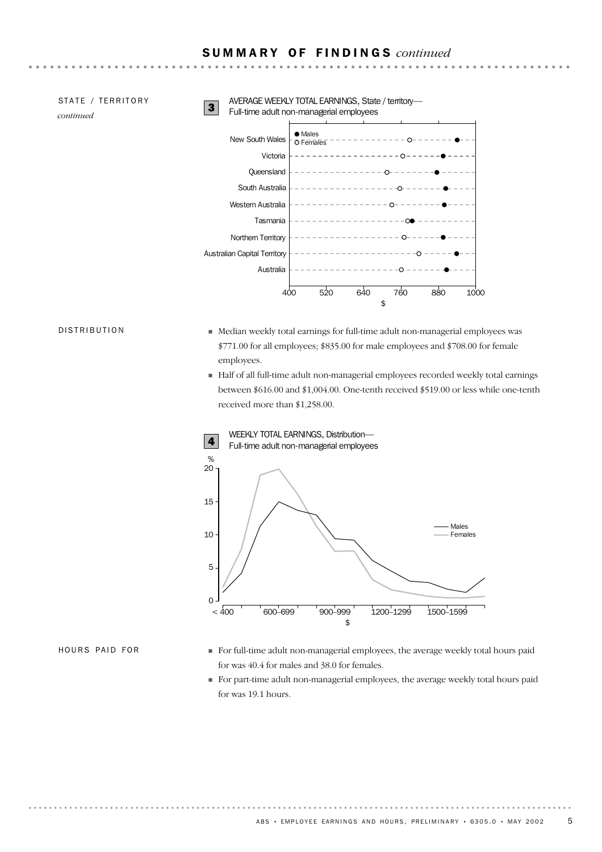### S U M M A R Y O F F I N D I N G S *continued*

| STATE / TERRITORY<br>continued | 3 | AVERAGE WEEKLY TOTAL EARNINGS, State / territory-<br>Full-time adult non-managerial employees |                      |                 |                   |     |      |
|--------------------------------|---|-----------------------------------------------------------------------------------------------|----------------------|-----------------|-------------------|-----|------|
|                                |   | New South Wales                                                                               | • Males<br>O Females |                 |                   |     |      |
|                                |   | Victoria                                                                                      |                      | ---------       | $\cap$            |     |      |
|                                |   | Queensland                                                                                    |                      |                 | $\curvearrowleft$ |     |      |
|                                |   | South Australia                                                                               |                      |                 | ∩                 |     |      |
|                                |   | Western Australia                                                                             |                      | $- - - - - - -$ | ⌒                 |     |      |
|                                |   | Tasmania                                                                                      |                      |                 |                   |     |      |
|                                |   | Northern Territory                                                                            |                      |                 |                   |     |      |
|                                |   | <b>Australian Capital Territory</b>                                                           |                      | ----------      |                   |     |      |
|                                |   | Australia                                                                                     |                      |                 |                   |     |      |
|                                |   | 400                                                                                           | 520                  | 640             | 760               | 880 | 1000 |
|                                |   |                                                                                               |                      | \$              |                   |     |      |

### DISTRIBUTION

- Median weekly total earnings for full-time adult non-managerial employees was \$771.00 for all employees; \$835.00 for male employees and \$708.00 for female employees.
- Half of all full-time adult non-managerial employees recorded weekly total earnings between \$616.00 and \$1,004.00. One-tenth received \$519.00 or less while one-tenth received more than \$1,258.00.



HOURS PAID FOR

- For full-time adult non-managerial employees, the average weekly total hours paid for was 40.4 for males and 38.0 for females.
- For part-time adult non-managerial employees, the average weekly total hours paid for was 19.1 hours.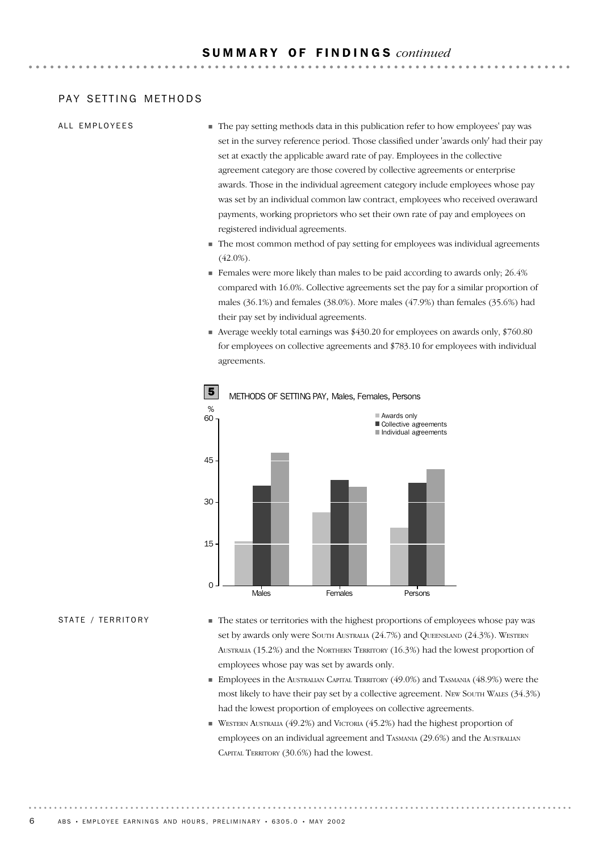### PAY SETTING METHODS

### ALL EMPLOYEES

- The pay setting methods data in this publication refer to how employees' pay was set in the survey reference period. Those classified under 'awards only' had their pay set at exactly the applicable award rate of pay. Employees in the collective agreement category are those covered by collective agreements or enterprise awards. Those in the individual agreement category include employees whose pay was set by an individual common law contract, employees who received overaward payments, working proprietors who set their own rate of pay and employees on registered individual agreements.
- The most common method of pay setting for employees was individual agreements  $(42.0\%)$ .
- Females were more likely than males to be paid according to awards only; 26.4% compared with 16.0%. Collective agreements set the pay for a similar proportion of males (36.1%) and females (38.0%). More males (47.9%) than females (35.6%) had their pay set by individual agreements.
- Average weekly total earnings was \$430.20 for employees on awards only, \$760.80 for employees on collective agreements and \$783.10 for employees with individual agreements.



**5** METHODS OF SETTING PAY, Males, Females, Persons

### STATE / TERRITORY

- The states or territories with the highest proportions of employees whose pay was set by awards only were South Australia (24.7%) and QUEENSLAND (24.3%). WESTERN AUSTRALIA (15.2%) and the NORTHERN TERRITORY (16.3%) had the lowest proportion of employees whose pay was set by awards only.
- Employees in the AUSTRALIAN CAPITAL TERRITORY (49.0%) and TASMANIA (48.9%) were the most likely to have their pay set by a collective agreement. NEW SOUTH WALES (34.3%) had the lowest proportion of employees on collective agreements.
- $\blacksquare$  WESTERN AUSTRALIA (49.2%) and VICTORIA (45.2%) had the highest proportion of employees on an individual agreement and TASMANIA (29.6%) and the AUSTRALIAN CAPITAL TERRITORY (30.6%) had the lowest.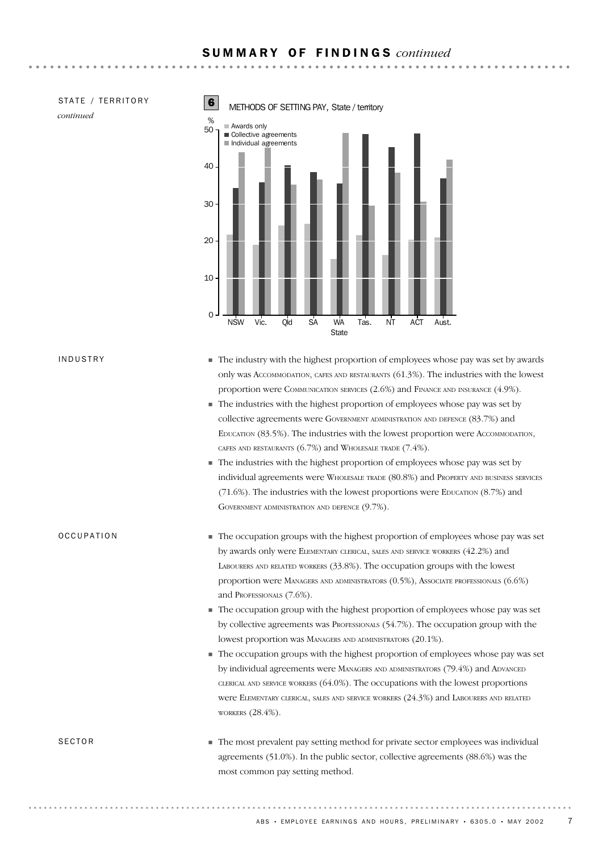### S U M M A R Y O F F I N D I N G S *continued*

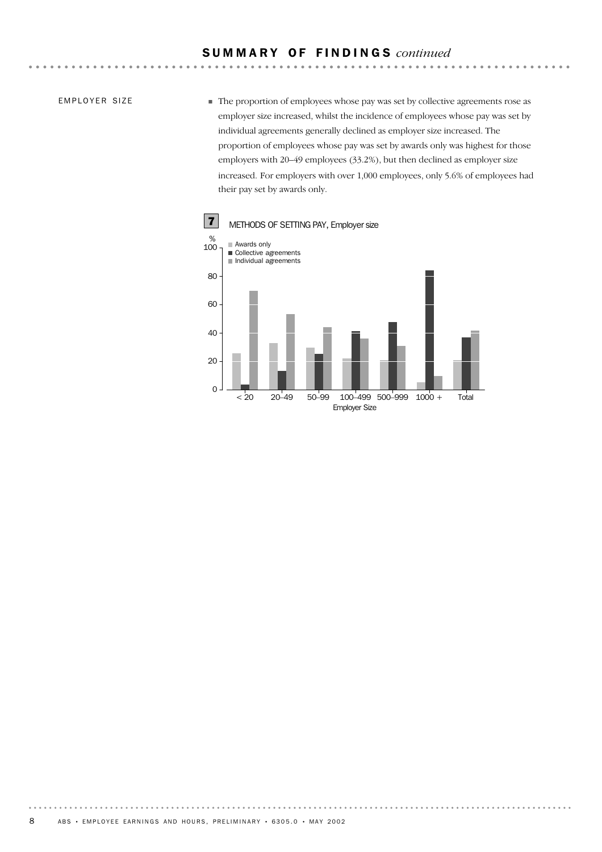### S U M M A R Y O F F I N D I N G S *continued*

EMPLOYER SIZE

The proportion of employees whose pay was set by collective agreements rose as employer size increased, whilst the incidence of employees whose pay was set by individual agreements generally declined as employer size increased. The proportion of employees whose pay was set by awards only was highest for those employers with 20–49 employees (33.2%), but then declined as employer size increased. For employers with over 1,000 employees, only 5.6% of employees had their pay set by awards only.

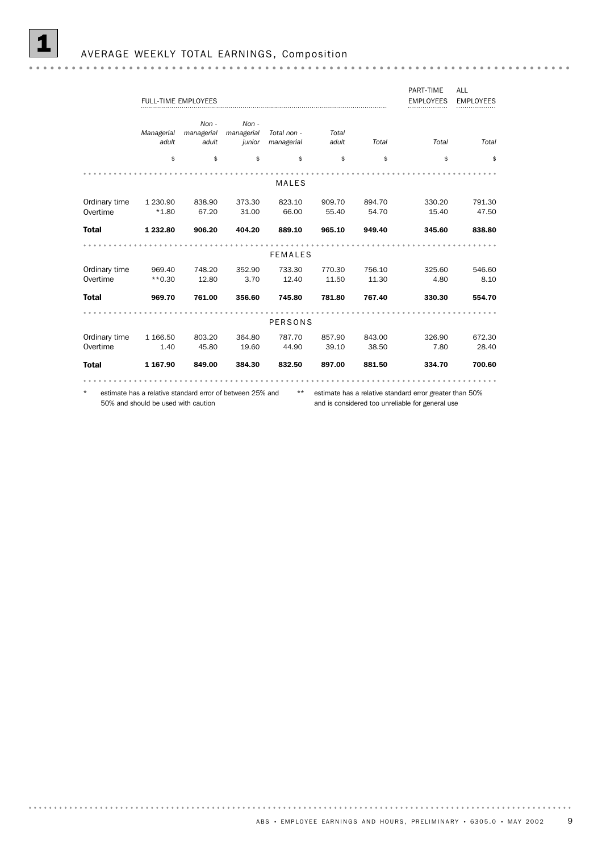|               |                                     |                                                           |            |                |        |        | PART-TIME                                               | ALL              |
|---------------|-------------------------------------|-----------------------------------------------------------|------------|----------------|--------|--------|---------------------------------------------------------|------------------|
|               |                                     | <b>FULL-TIME EMPLOYEES</b>                                |            |                |        |        | <b>EMPLOYEES</b>                                        | <b>EMPLOYEES</b> |
|               |                                     |                                                           |            |                |        |        |                                                         |                  |
|               |                                     | $Non -$                                                   | $Non -$    |                |        |        |                                                         |                  |
|               | Managerial                          | managerial                                                | managerial | Total non -    | Total  |        |                                                         |                  |
|               | adult                               | adult                                                     | junior     | managerial     | adult  | Total  | Total                                                   | Total            |
|               | \$                                  | \$                                                        | \$         | \$             | \$     | \$     | \$                                                      | \$               |
|               |                                     |                                                           |            |                |        |        |                                                         |                  |
|               |                                     |                                                           |            | <b>MALES</b>   |        |        |                                                         |                  |
| Ordinary time | 1 230.90                            | 838.90                                                    | 373.30     | 823.10         | 909.70 | 894.70 | 330.20                                                  | 791.30           |
| Overtime      | $*1.80$                             | 67.20                                                     | 31.00      | 66.00          | 55.40  | 54.70  | 15.40                                                   | 47.50            |
|               |                                     |                                                           |            |                |        |        |                                                         |                  |
| <b>Total</b>  | 1 232.80                            | 906.20                                                    | 404.20     | 889.10         | 965.10 | 949.40 | 345.60                                                  | 838.80           |
|               |                                     |                                                           |            |                |        |        |                                                         |                  |
|               |                                     |                                                           |            | <b>FEMALES</b> |        |        |                                                         |                  |
| Ordinary time | 969.40                              | 748.20                                                    | 352.90     | 733.30         | 770.30 | 756.10 | 325.60                                                  | 546.60           |
| Overtime      | $**0.30$                            | 12.80                                                     | 3.70       | 12.40          | 11.50  | 11.30  | 4.80                                                    | 8.10             |
| <b>Total</b>  | 969.70                              | 761.00                                                    | 356.60     | 745.80         | 781.80 | 767.40 | 330.30                                                  | 554.70           |
|               |                                     |                                                           |            |                |        |        |                                                         |                  |
|               |                                     |                                                           |            |                |        |        |                                                         |                  |
|               |                                     |                                                           |            | <b>PERSONS</b> |        |        |                                                         |                  |
| Ordinary time | 1 166.50                            | 803.20                                                    | 364.80     | 787.70         | 857.90 | 843.00 | 326.90                                                  | 672.30           |
| Overtime      | 1.40                                | 45.80                                                     | 19.60      | 44.90          | 39.10  | 38.50  | 7.80                                                    | 28.40            |
| <b>Total</b>  | 1 167.90                            | 849.00                                                    | 384.30     | 832.50         | 897.00 | 881.50 | 334.70                                                  | 700.60           |
|               |                                     |                                                           |            |                |        |        |                                                         |                  |
|               |                                     |                                                           |            |                |        |        |                                                         |                  |
| $\star$       |                                     | estimate has a relative standard error of between 25% and |            | $***$          |        |        | estimate has a relative standard error greater than 50% |                  |
|               | 50% and should be used with caution |                                                           |            |                |        |        | and is considered too unreliable for general use        |                  |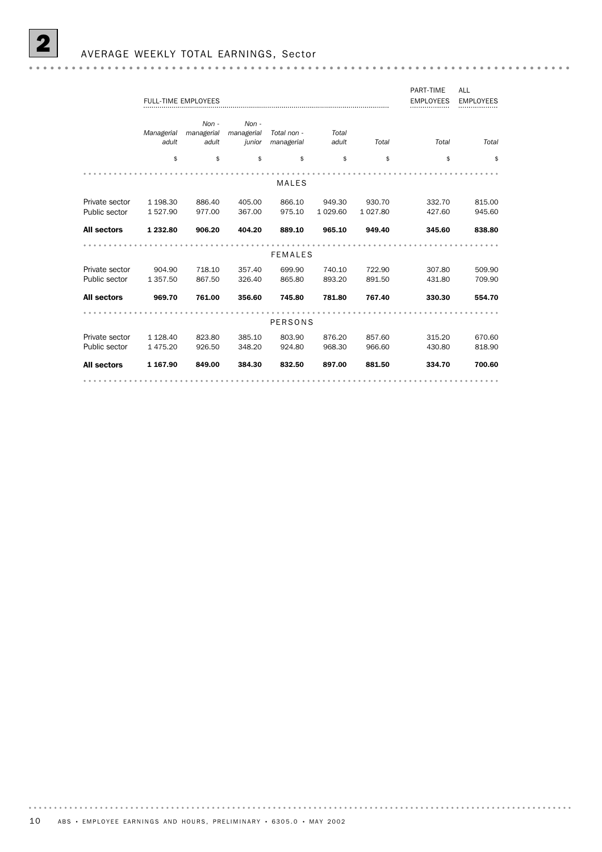|                    |            |                            |            |                |           |           | PART-TIME        | ALL              |
|--------------------|------------|----------------------------|------------|----------------|-----------|-----------|------------------|------------------|
|                    |            | <b>FULL-TIME EMPLOYEES</b> |            |                |           |           | <b>EMPLOYEES</b> | <b>EMPLOYEES</b> |
|                    |            |                            |            |                |           |           |                  |                  |
|                    |            | $Non -$                    | $Non -$    |                |           |           |                  |                  |
|                    | Managerial | managerial                 | managerial | Total non -    | Total     |           |                  |                  |
|                    | adult      | adult                      | junior     | managerial     | adult     | Total     | Total            | Total            |
|                    |            |                            |            |                |           |           |                  |                  |
|                    | \$         | \$                         | \$         | \$             | \$        | \$        | \$               | \$               |
|                    |            |                            |            |                |           |           |                  |                  |
|                    |            |                            |            | <b>MALES</b>   |           |           |                  |                  |
|                    |            |                            |            |                |           |           |                  |                  |
| Private sector     | 1 198.30   | 886.40                     | 405.00     | 866.10         | 949.30    | 930.70    | 332.70           | 815.00           |
| Public sector      | 1527.90    | 977.00                     | 367.00     | 975.10         | 1 0 29.60 | 1 0 27.80 | 427.60           | 945.60           |
|                    |            |                            |            |                |           |           |                  |                  |
| <b>All sectors</b> | 1 232.80   | 906.20                     | 404.20     | 889.10         | 965.10    | 949.40    | 345.60           | 838.80           |
|                    |            |                            |            |                |           |           |                  |                  |
|                    |            |                            |            | <b>FEMALES</b> |           |           |                  |                  |
|                    |            |                            |            |                |           |           |                  |                  |
| Private sector     | 904.90     | 718.10                     | 357.40     | 699.90         | 740.10    | 722.90    | 307.80           | 509.90           |
| Public sector      | 1 357.50   | 867.50                     | 326.40     | 865.80         | 893.20    | 891.50    | 431.80           | 709.90           |
| <b>All sectors</b> | 969.70     | 761.00                     | 356.60     | 745.80         | 781.80    | 767.40    | 330.30           | 554.70           |
|                    |            |                            |            |                |           |           |                  |                  |
|                    |            |                            |            |                |           |           |                  |                  |
|                    |            |                            |            | PERSONS        |           |           |                  |                  |
| Private sector     | 1 1 28.40  | 823.80                     | 385.10     | 803.90         | 876.20    | 857.60    | 315.20           | 670.60           |
| Public sector      | 1 475.20   | 926.50                     | 348.20     | 924.80         | 968.30    | 966.60    | 430.80           | 818.90           |
|                    |            |                            |            |                |           |           |                  |                  |
| <b>All sectors</b> | 1 167.90   | 849.00                     | 384.30     | 832.50         | 897.00    | 881.50    | 334.70           | 700.60           |
|                    |            |                            |            |                |           |           |                  | .                |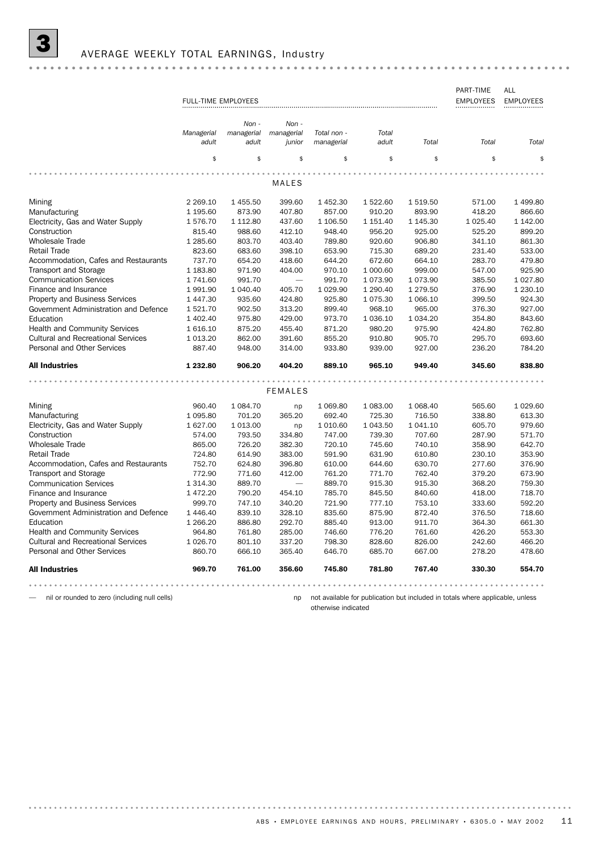|                                           |                     |               |                |             |               |           | PART-TIME        | ALL              |
|-------------------------------------------|---------------------|---------------|----------------|-------------|---------------|-----------|------------------|------------------|
|                                           | FULL-TIME EMPLOYEES |               |                |             |               |           | <b>EMPLOYEES</b> | <b>EMPLOYEES</b> |
|                                           |                     | $Non -$       | $Non -$        |             |               |           |                  |                  |
|                                           | Managerial          | managerial    | managerial     | Total non - | Total         |           |                  |                  |
|                                           | adult               | adult         | junior         | managerial  | adult         | Total     | Total            | Total            |
|                                           | \$                  | \$            | \$             | \$          | \$            | \$        | \$               | \$               |
|                                           |                     |               |                |             |               |           |                  |                  |
|                                           |                     |               | MALES          |             |               |           |                  |                  |
| Mining                                    | 2 2 6 9 . 10        | 1455.50       | 399.60         | 1452.30     | 1 522.60      | 1 519.50  | 571.00           | 1 499.80         |
| Manufacturing                             | 1 195.60            | 873.90        | 407.80         | 857.00      | 910.20        | 893.90    | 418.20           | 866.60           |
| Electricity, Gas and Water Supply         | 1576.70             | 1 1 1 2.80    | 437.60         | 1 106.50    | 1 151.40      | 1 145.30  | 1 0 25.40        | 1 142.00         |
| Construction                              | 815.40              | 988.60        | 412.10         | 948.40      | 956.20        | 925.00    | 525.20           | 899.20           |
| <b>Wholesale Trade</b>                    | 1 285.60            | 803.70        | 403.40         | 789.80      | 920.60        | 906.80    | 341.10           | 861.30           |
| <b>Retail Trade</b>                       | 823.60              | 683.60        | 398.10         | 653.90      | 715.30        | 689.20    | 231.40           | 533.00           |
| Accommodation, Cafes and Restaurants      | 737.70              | 654.20        | 418.60         | 644.20      | 672.60        | 664.10    | 283.70           | 479.80           |
| Transport and Storage                     | 1 183.80            | 971.90        | 404.00         | 970.10      | 1 000.60      | 999.00    | 547.00           | 925.90           |
| <b>Communication Services</b>             | 1 741.60            | 991.70        |                | 991.70      | 1 073.90      | 1 073.90  | 385.50           | 1 0 27.80        |
| Finance and Insurance                     | 1991.90             | 1 040.40      | 405.70         | 1 0 29.90   | 1 290.40      | 1 279.50  | 376.90           | 1 230.10         |
| <b>Property and Business Services</b>     | 1447.30             | 935.60        | 424.80         | 925.80      | 1 0 7 5 . 3 0 | 1 066.10  | 399.50           | 924.30           |
| Government Administration and Defence     | 1521.70             | 902.50        | 313.20         | 899.40      | 968.10        | 965.00    | 376.30           | 927.00           |
| Education                                 | 1 402.40            | 975.80        | 429.00         | 973.70      | 1 0 36.10     | 1 0 34.20 | 354.80           | 843.60           |
| <b>Health and Community Services</b>      | 1616.10             | 875.20        | 455.40         | 871.20      | 980.20        | 975.90    | 424.80           | 762.80           |
| <b>Cultural and Recreational Services</b> | 1 0 1 3 . 2 0       | 862.00        | 391.60         | 855.20      | 910.80        | 905.70    | 295.70           | 693.60           |
| Personal and Other Services               | 887.40              | 948.00        | 314.00         | 933.80      | 939.00        | 927.00    | 236.20           | 784.20           |
| <b>All Industries</b>                     | 1 232.80            | 906.20        | 404.20         | 889.10      | 965.10        | 949.40    | 345.60           | 838.80           |
|                                           |                     |               |                |             |               |           |                  |                  |
|                                           |                     |               | <b>FEMALES</b> |             |               |           |                  |                  |
| Mining                                    | 960.40              | 1 0 8 4 . 7 0 | np             | 1 0 69.80   | 1 083.00      | 1 068.40  | 565.60           | 1 0 29.60        |
| Manufacturing                             | 1 0 9 5.80          | 701.20        | 365.20         | 692.40      | 725.30        | 716.50    | 338.80           | 613.30           |
| Electricity, Gas and Water Supply         | 1 627.00            | 1 0 1 3 .0 0  | np             | 1 0 1 0.60  | 1 043.50      | 1 041.10  | 605.70           | 979.60           |
| Construction                              | 574.00              | 793.50        | 334.80         | 747.00      | 739.30        | 707.60    | 287.90           | 571.70           |
| <b>Wholesale Trade</b>                    | 865.00              | 726.20        | 382.30         | 720.10      | 745.60        | 740.10    | 358.90           | 642.70           |
| <b>Retail Trade</b>                       | 724.80              | 614.90        | 383.00         | 591.90      | 631.90        | 610.80    | 230.10           | 353.90           |
| Accommodation, Cafes and Restaurants      | 752.70              | 624.80        | 396.80         | 610.00      | 644.60        | 630.70    | 277.60           | 376.90           |
| Transport and Storage                     | 772.90              | 771.60        | 412.00         | 761.20      | 771.70        | 762.40    | 379.20           | 673.90           |
| <b>Communication Services</b>             | 1 3 1 4 . 3 0       | 889.70        |                | 889.70      | 915.30        | 915.30    | 368.20           | 759.30           |
| Finance and Insurance                     | 1472.20             | 790.20        | 454.10         | 785.70      | 845.50        | 840.60    | 418.00           | 718.70           |
| <b>Property and Business Services</b>     | 999.70              | 747.10        | 340.20         | 721.90      | 777.10        | 753.10    | 333.60           | 592.20           |
| Government Administration and Defence     | 1 446.40            | 839.10        | 328.10         | 835.60      | 875.90        | 872.40    | 376.50           | 718.60           |
| Education                                 | 1 266.20            | 886.80        | 292.70         | 885.40      | 913.00        | 911.70    | 364.30           | 661.30           |
| <b>Health and Community Services</b>      | 964.80              | 761.80        | 285.00         | 746.60      | 776.20        | 761.60    | 426.20           | 553.30           |
| <b>Cultural and Recreational Services</b> | 1 0 26.70           | 801.10        | 337.20         | 798.30      | 828.60        | 826.00    | 242.60           | 466.20           |
| Personal and Other Services               | 860.70              | 666.10        | 365.40         | 646.70      | 685.70        | 667.00    | 278.20           | 478.60           |
| <b>All Industries</b>                     | 969.70              | 761.00        | 356.60         | 745.80      | 781.80        | 767.40    | 330.30           | 554.70           |
|                                           |                     |               |                |             |               |           |                  |                  |

— nil or rounded to zero (including null cells) and the mot available for publication but included in totals where applicable, unless otherwise indicated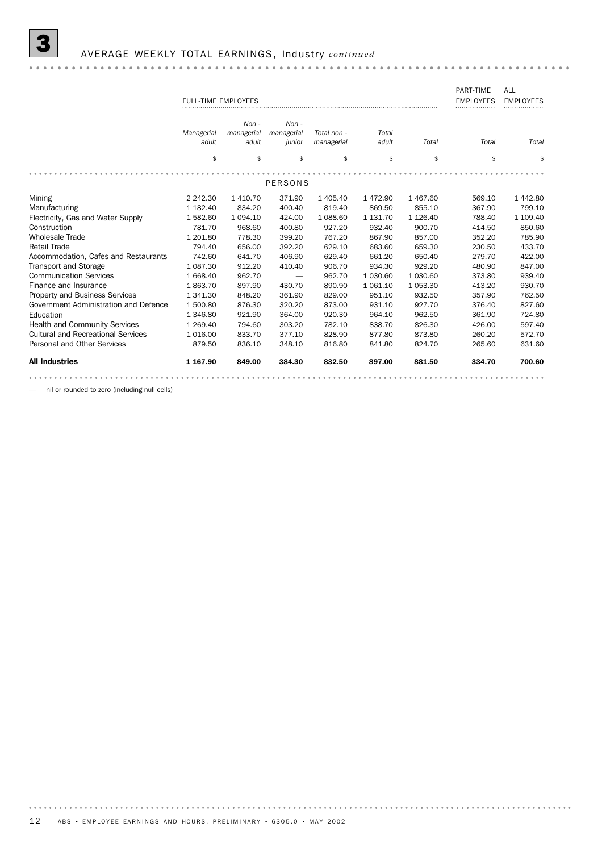# 3 AVERAGE WEEKLY TOTAL EARNINGS, Industry *continued*

|                                       |                            |               |            |             |          |               | PART-TIME        | <b>ALL</b>       |
|---------------------------------------|----------------------------|---------------|------------|-------------|----------|---------------|------------------|------------------|
|                                       | <b>FULL-TIME EMPLOYEES</b> |               |            |             |          |               | <b>EMPLOYEES</b> | <b>EMPLOYEES</b> |
|                                       |                            |               |            |             |          |               |                  |                  |
|                                       |                            | $Non -$       | $Non -$    |             |          |               |                  |                  |
|                                       | Managerial                 | managerial    | managerial | Total non - | Total    |               |                  |                  |
|                                       | adult                      | adult         | junior     | managerial  | adult    | Total         | Total            | Total            |
|                                       |                            |               |            |             |          |               |                  |                  |
|                                       | \$                         | \$            | \$         | \$          | \$       | \$            | \$               | \$               |
|                                       |                            |               |            |             |          |               |                  |                  |
|                                       |                            |               | PERSONS    |             |          |               |                  |                  |
| Mining                                | 2 2 4 2 . 3 0              | 1410.70       | 371.90     | 1 405.40    | 1472.90  | 1 467.60      | 569.10           | 1 442.80         |
| Manufacturing                         | 1 1 8 2 . 4 0              | 834.20        | 400.40     | 819.40      | 869.50   | 855.10        | 367.90           | 799.10           |
| Electricity, Gas and Water Supply     | 1582.60                    | 1 0 9 4 . 1 0 | 424.00     | 1 088.60    | 1 131.70 | 1 1 2 6 . 4 0 | 788.40           | 1 109.40         |
| Construction                          | 781.70                     | 968.60        | 400.80     | 927.20      | 932.40   | 900.70        | 414.50           | 850.60           |
| <b>Wholesale Trade</b>                | 1 201.80                   | 778.30        | 399.20     | 767.20      | 867.90   | 857.00        | 352.20           | 785.90           |
| <b>Retail Trade</b>                   | 794.40                     | 656.00        | 392.20     | 629.10      | 683.60   | 659.30        | 230.50           | 433.70           |
| Accommodation, Cafes and Restaurants  | 742.60                     | 641.70        | 406.90     | 629.40      | 661.20   | 650.40        | 279.70           | 422.00           |
| <b>Transport and Storage</b>          | 1 087.30                   | 912.20        | 410.40     | 906.70      | 934.30   | 929.20        | 480.90           | 847.00           |
| <b>Communication Services</b>         | 1 668.40                   | 962.70        |            | 962.70      | 1 030.60 | 1 030.60      | 373.80           | 939.40           |
| Finance and Insurance                 | 1863.70                    | 897.90        | 430.70     | 890.90      | 1 061.10 | 1 0 5 3.30    | 413.20           | 930.70           |
| <b>Property and Business Services</b> | 1 341.30                   | 848.20        | 361.90     | 829.00      | 951.10   | 932.50        | 357.90           | 762.50           |
| Government Administration and Defence | 1 500.80                   | 876.30        | 320.20     | 873.00      | 931.10   | 927.70        | 376.40           | 827.60           |
| Education                             | 1 346.80                   | 921.90        | 364.00     | 920.30      | 964.10   | 962.50        | 361.90           | 724.80           |
| <b>Health and Community Services</b>  | 1 2 6 9.40                 | 794.60        | 303.20     | 782.10      | 838.70   | 826.30        | 426.00           | 597.40           |
| Cultural and Recreational Services    | 1 0 1 6 .0 0               | 833.70        | 377.10     | 828.90      | 877.80   | 873.80        | 260.20           | 572.70           |
| Personal and Other Services           | 879.50                     | 836.10        | 348.10     | 816.80      | 841.80   | 824.70        | 265.60           | 631.60           |
|                                       |                            |               |            |             |          |               |                  |                  |
| <b>All Industries</b>                 | 1 167.90                   | 849.00        | 384.30     | 832.50      | 897.00   | 881.50        | 334.70           | 700.60           |
|                                       |                            |               |            |             |          |               |                  |                  |

— nil or rounded to zero (including null cells)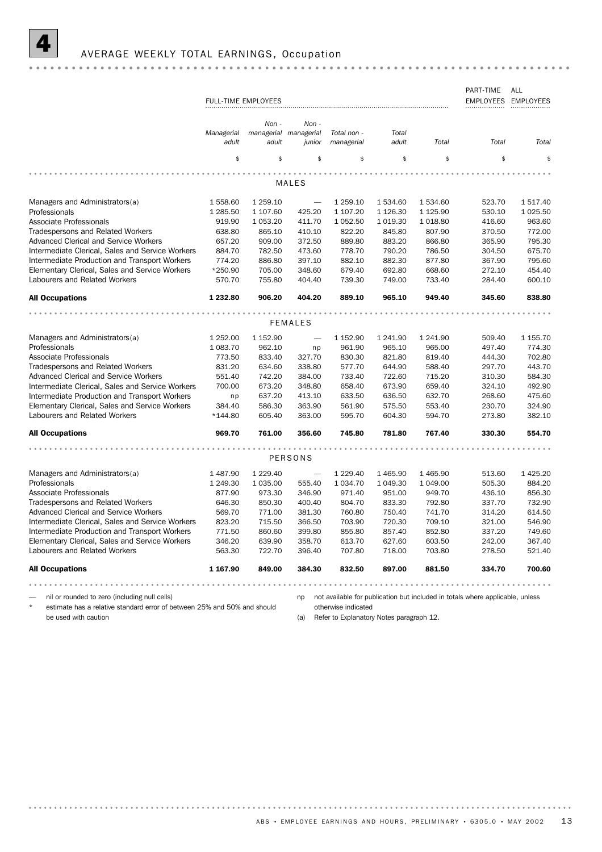

### PART-TIME ALL FULL-TIME EMPLOYEES EMPLOYEES EMPLOYEES EMPLOYEES *Non - Non - Managerial Total Total non - managerial managerial adult adult adult Total Total Total managerial junior* \$ \$ \$ \$ \$ \$ \$ \$ MALES Managers and Administrators(a)  $1558.60$   $1259.10$   $1259.10$   $1534.60$   $1534.60$   $523.70$   $1517.40$ Professionals 1 285.50 1 107.60 425.20 1 107.20 1 126.30 1 125.90 530.10 1 025.50 Associate Professionals **919.90** 1 053.20 411.70 1 052.50 1 019.30 1 018.80 416.60 963.60 Tradespersons and Related Workers 638.80 865.10 410.10 822.20 845.80 807.90 370.50 772.00 Advanced Clerical and Service Workers 657.20 909.00 372.50 889.80 883.20 866.80 365.90 795.30 Intermediate Clerical, Sales and Service Workers 884.70 782.50 473.60 778.70 790.20 786.50 304.50 675.70<br>Intermediate Production and Transport Workers 774.20 886.80 397.10 882.10 882.30 877.80 367.90 795.60 Intermediate Clerical, Sales and Service Workers 884.70 782.50 473.60 778.70 790.20 786.50 304.50 675.70 Elementary Clerical, Sales and Service Workers \*250.90 705.00 348.60 679.40 692.80 668.60 272.10 454.40 Labourers and Related Workers 570.70 755.80 404.40 739.30 749.00 733.40 284.40 600.10 All Occupations 1 232.80 906.20 404.20 889.10 965.10 949.40 345.60 838.80 FEMALES Managers and Administrators(a)  $1 252.00 1 152.90 - 1152.90 1241.90 1241.90 509.40 1155.70$ Professionals **1083.70** 962.10 np 961.90 965.10 965.00 497.40 774.30 Associate Professionals 773.50 833.40 327.70 830.30 821.80 819.40 444.30 702.80 Tradespersons and Related Workers 831.20 634.60 338.80 577.70 644.90 588.40 297.70 443.70 Advanced Clerical and Service Workers 551.40 742.20 384.00 733.40 722.60 715.20 310.30 584.30 Advanced Clerical and Service Workers <br>
Intermediate Clerical, Sales and Service Workers 700.00 673.20 348.80 658.40 673.90 659.40 324.10 492.90 Intermediate Production and Transport Workers np 637.20 413.10 633.50 636.50 632.70 268.60 475.60 Elementary Clerical, Sales and Service Workers 384.40 586.30 363.90 561.90 575.50 553.40 230.70 324.90 Labourers and Related Workers \*144.80 605.40 363.00 595.70 604.30 594.70 273.80 382.10 All Occupations **969.70** 969.70 761.00 356.60 745.80 781.80 767.40 330.30 554.70 PERSONS Managers and Administrators(a) 1 487.90 1 229.40 - 1 229.40 1 465.90 1 465.90 513.60 1 425.20 Professionals 1 249.30 1 035.00 555.40 1 034.70 1 049.30 1 049.00 505.30 884.20 Associate Professionals 877.90 973.30 346.90 971.40 951.00 949.70 436.10 856.30 Tradespersons and Related Workers 646.30 850.30 400.40 804.70 833.30 792.80 337.70 732.90 Advanced Clerical and Service Workers 569.70 771.00 381.30 760.80 750.40 741.70 314.20 614.50<br>Intermediate Clerical, Sales and Service Workers 823.20 715.50 366.50 703.90 720.30 709.10 321.00 546.90 Advanced Clerical and Service Workers 569.70 771.00 381.30 760.80 750.40 741.70 314.20 614.50 Intermediate Production and Transport Workers 771.50 860.60 399.80 855.80 857.40 852.80 337.20 749.60 Elementary Clerical, Sales and Service Workers 346.20 639.90 358.70 613.70 627.60 603.50 242.00 367.40 Labourers and Related Workers 563.30 722.70 396.40 707.80 718.00 703.80 278.50 521.40 All Occupations 1 167.90 849.00 384.30 832.50 897.00 881.50 334.70 700.60 — nil or rounded to zero (including null cells) np not available for publication but included in totals where applicable, unless

estimate has a relative standard error of between 25% and 50% and should be used with caution

otherwise indicated

(a) Refer to Explanatory Notes paragraph 12.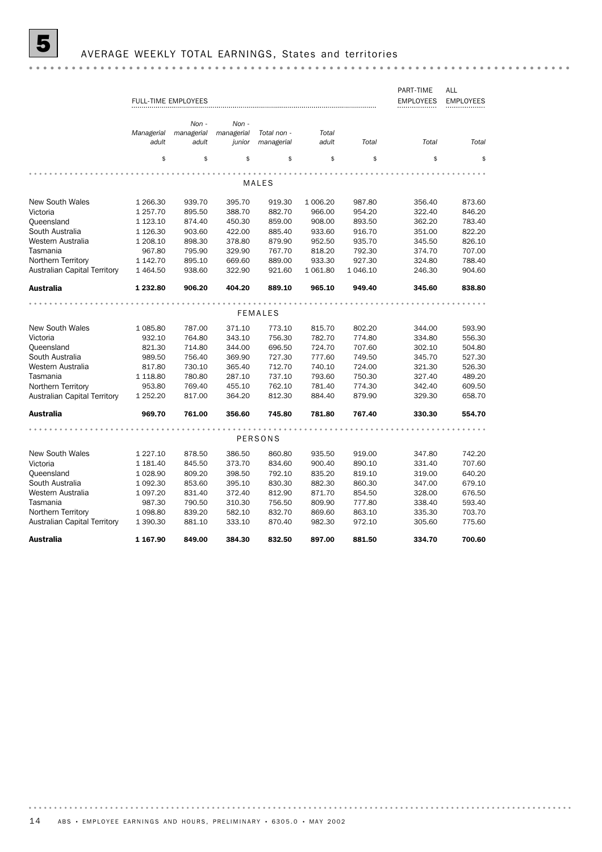# **5** AVERAGE WEEKLY TOTAL EARNINGS, States and territories

|                                     |                     | <b>FULL-TIME EMPLOYEES</b>   |                               |                           |                |          | PART-TIME<br><b>EMPLOYEES</b> | ALL<br><b>EMPLOYEES</b> |
|-------------------------------------|---------------------|------------------------------|-------------------------------|---------------------------|----------------|----------|-------------------------------|-------------------------|
|                                     | Managerial<br>adult | Non -<br>managerial<br>adult | Non -<br>managerial<br>junior | Total non -<br>managerial | Total<br>adult | Total    | Total                         | Total                   |
|                                     | \$                  | \$                           | \$                            | \$                        | \$             | \$       | \$                            | \$                      |
|                                     |                     |                              |                               | MALES                     |                |          |                               |                         |
|                                     |                     |                              |                               |                           |                |          |                               |                         |
| <b>New South Wales</b>              | 1 266.30            | 939.70                       | 395.70                        | 919.30                    | 1 006.20       | 987.80   | 356.40                        | 873.60                  |
| Victoria                            | 1 257.70            | 895.50                       | 388.70                        | 882.70                    | 966.00         | 954.20   | 322.40                        | 846.20                  |
| Queensland                          | 1 1 2 3 . 1 0       | 874.40                       | 450.30                        | 859.00                    | 908.00         | 893.50   | 362.20                        | 783.40                  |
| South Australia                     | 1 1 26.30           | 903.60                       | 422.00                        | 885.40                    | 933.60         | 916.70   | 351.00                        | 822.20                  |
| Western Australia                   | 1 208.10            | 898.30                       | 378.80                        | 879.90                    | 952.50         | 935.70   | 345.50                        | 826.10                  |
| Tasmania                            | 967.80              | 795.90                       | 329.90                        | 767.70                    | 818.20         | 792.30   | 374.70                        | 707.00                  |
| Northern Territory                  | 1 142.70            | 895.10                       | 669.60                        | 889.00                    | 933.30         | 927.30   | 324.80                        | 788.40                  |
| <b>Australian Capital Territory</b> | 1 4 64.50           | 938.60                       | 322.90                        | 921.60                    | 1 0 6 1.80     | 1 046.10 | 246.30                        | 904.60                  |
| <b>Australia</b>                    | 1 232.80            | 906.20                       | 404.20                        | 889.10                    | 965.10         | 949.40   | 345.60                        | 838.80                  |
|                                     |                     |                              |                               |                           |                |          |                               |                         |
|                                     |                     |                              |                               | <b>FEMALES</b>            |                |          |                               |                         |
| <b>New South Wales</b>              | 1 085.80            | 787.00                       | 371.10                        | 773.10                    | 815.70         | 802.20   | 344.00                        | 593.90                  |
| Victoria                            | 932.10              | 764.80                       | 343.10                        | 756.30                    | 782.70         | 774.80   | 334.80                        | 556.30                  |
| Queensland                          | 821.30              | 714.80                       | 344.00                        | 696.50                    | 724.70         | 707.60   | 302.10                        | 504.80                  |
| South Australia                     | 989.50              | 756.40                       | 369.90                        | 727.30                    | 777.60         | 749.50   | 345.70                        | 527.30                  |
| Western Australia                   | 817.80              | 730.10                       | 365.40                        | 712.70                    | 740.10         | 724.00   | 321.30                        | 526.30                  |
| Tasmania                            | 1 118.80            | 780.80                       | 287.10                        | 737.10                    | 793.60         | 750.30   | 327.40                        | 489.20                  |
| Northern Territory                  | 953.80              | 769.40                       | 455.10                        | 762.10                    | 781.40         | 774.30   | 342.40                        | 609.50                  |
| <b>Australian Capital Territory</b> | 1 252.20            | 817.00                       | 364.20                        | 812.30                    | 884.40         | 879.90   | 329.30                        | 658.70                  |
| <b>Australia</b>                    | 969.70              | 761.00                       | 356.60                        | 745.80                    | 781.80         | 767.40   | 330.30                        | 554.70                  |
|                                     |                     |                              |                               |                           |                |          |                               |                         |
|                                     |                     |                              |                               | PERSONS                   |                |          |                               |                         |
| <b>New South Wales</b>              | 1 227.10            | 878.50                       | 386.50                        | 860.80                    | 935.50         | 919.00   | 347.80                        | 742.20                  |
| Victoria                            | 1 181.40            | 845.50                       | 373.70                        | 834.60                    | 900.40         | 890.10   | 331.40                        | 707.60                  |
| Queensland                          | 1 0 28.90           | 809.20                       | 398.50                        | 792.10                    | 835.20         | 819.10   | 319.00                        | 640.20                  |
| South Australia                     | 1 092.30            | 853.60                       | 395.10                        | 830.30                    | 882.30         | 860.30   | 347.00                        | 679.10                  |
| Western Australia                   | 1 097.20            | 831.40                       | 372.40                        | 812.90                    | 871.70         | 854.50   | 328.00                        | 676.50                  |
| Tasmania                            | 987.30              | 790.50                       | 310.30                        | 756.50                    | 809.90         | 777.80   | 338.40                        | 593.40                  |
| Northern Territory                  | 1 098.80            | 839.20                       | 582.10                        | 832.70                    | 869.60         | 863.10   | 335.30                        | 703.70                  |
| <b>Australian Capital Territory</b> | 1 390.30            | 881.10                       | 333.10                        | 870.40                    | 982.30         | 972.10   | 305.60                        | 775.60                  |
| <b>Australia</b>                    | 1 167.90            | 849.00                       | 384.30                        | 832.50                    | 897.00         | 881.50   | 334.70                        | 700.60                  |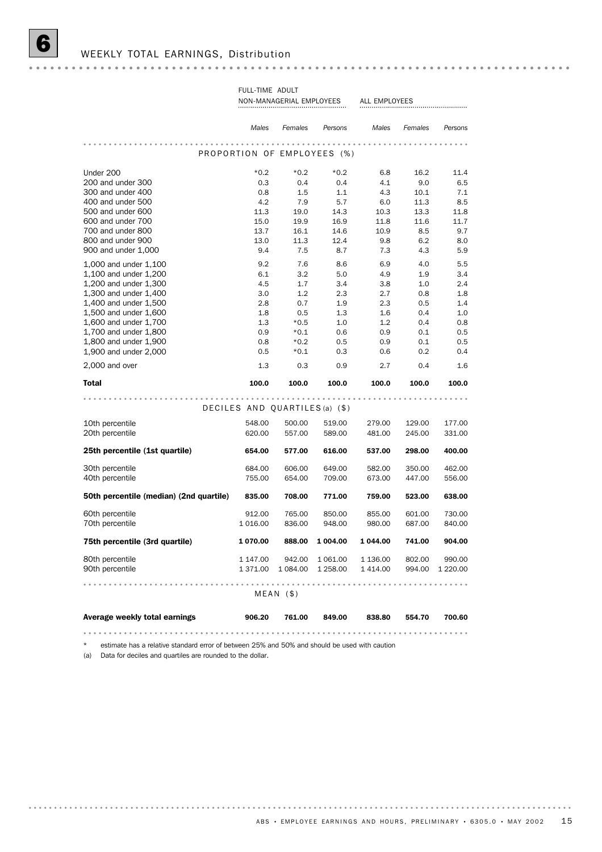|                                                | Males                          | Females          | Persons                     | Males            | Females          | Persons          |
|------------------------------------------------|--------------------------------|------------------|-----------------------------|------------------|------------------|------------------|
|                                                |                                |                  |                             |                  |                  |                  |
|                                                |                                |                  | PROPORTION OF EMPLOYEES (%) |                  |                  |                  |
| Under 200                                      | $*0.2$                         | $*0.2$           | $*0.2$                      | 6.8              | 16.2             | 11.4             |
| 200 and under 300                              | 0.3                            | 0.4              | 0.4                         | 4.1              | 9.0              | 6.5              |
| 300 and under 400                              | 0.8                            | 1.5              | 1.1                         | 4.3              | 10.1             | 7.1              |
| 400 and under 500                              | 4.2                            | 7.9              | 5.7                         | 6.0              | 11.3             | 8.5              |
| 500 and under 600                              | 11.3                           | 19.0             | 14.3                        | 10.3             | 13.3             | 11.8             |
| 600 and under 700                              | 15.0                           | 19.9             | 16.9                        | 11.8             | 11.6             | 11.7             |
| 700 and under 800                              | 13.7                           | 16.1             | 14.6                        | 10.9             | 8.5              | 9.7              |
| 800 and under 900<br>900 and under 1,000       | 13.0<br>9.4                    | 11.3<br>7.5      | 12.4<br>8.7                 | 9.8<br>7.3       | 6.2<br>4.3       | 8.0<br>5.9       |
|                                                |                                |                  |                             |                  |                  |                  |
| 1,000 and under 1,100                          | 9.2                            | 7.6              | 8.6                         | 6.9              | 4.0              | 5.5              |
| 1,100 and under 1,200                          | 6.1                            | 3.2              | 5.0                         | 4.9              | 1.9              | 3.4              |
| 1,200 and under 1,300<br>1,300 and under 1,400 | 4.5<br>3.0                     | 1.7<br>1.2       | 3.4<br>2.3                  | 3.8<br>2.7       | 1.0<br>0.8       | 2.4<br>1.8       |
| 1,400 and under 1,500                          | 2.8                            | 0.7              | 1.9                         | 2.3              | 0.5              | 1.4              |
| 1,500 and under 1,600                          | 1.8                            | 0.5              | 1.3                         | 1.6              | 0.4              | 1.0              |
| 1,600 and under 1,700                          | 1.3                            | $*0.5$           | 1.0                         | 1.2              | 0.4              | 0.8              |
| 1,700 and under 1,800                          | 0.9                            | $*0.1$           | 0.6                         | 0.9              | 0.1              | 0.5              |
| 1,800 and under 1,900                          | 0.8                            | $*0.2$           | 0.5                         | 0.9              | 0.1              | 0.5              |
| 1,900 and under 2,000                          | 0.5                            | $*0.1$           | 0.3                         | 0.6              | 0.2              | 0.4              |
| 2,000 and over                                 | 1.3                            | 0.3              | 0.9                         | 2.7              | 0.4              | 1.6              |
| <b>Total</b>                                   | 100.0                          | 100.0            | 100.0                       | 100.0            | 100.0            | 100.0            |
|                                                | DECILES AND QUARTILES (a) (\$) |                  |                             |                  |                  |                  |
|                                                |                                |                  |                             |                  |                  |                  |
| 10th percentile<br>20th percentile             | 548.00<br>620.00               | 500.00<br>557.00 | 519.00<br>589.00            | 279.00<br>481.00 | 129.00<br>245.00 | 177.00<br>331.00 |
|                                                |                                |                  |                             |                  |                  |                  |
| 25th percentile (1st quartile)                 | 654.00                         | 577.00           | 616.00                      | 537.00           | 298.00           | 400.00           |
| 30th percentile                                | 684.00                         | 606.00           | 649.00                      | 582.00           | 350.00           | 462.00           |
| 40th percentile                                | 755.00                         | 654.00           | 709.00                      | 673.00           | 447.00           | 556.00           |
| 50th percentile (median) (2nd quartile)        | 835.00                         | 708.00           | 771.00                      | 759.00           | 523.00           | 638.00           |
| 60th percentile                                | 912.00                         | 765.00           | 850.00                      | 855.00           | 601.00           | 730.00           |
| 70th percentile                                | 1 0 1 6 .0 0                   | 836.00           | 948.00                      | 980.00           | 687.00           | 840.00           |
| 75th percentile (3rd quartile)                 | 1 070.00                       | 888.00           | 1 004.00                    | 1 044.00         | 741.00           | 904.00           |
| 80th percentile                                | 1 147.00                       | 942.00           | 1 061.00                    | 1 136.00         | 802.00           | 990.00           |
| 90th percentile                                | 1 371.00                       | 1 084.00         | 1 258.00                    | 1 4 1 4 .00      | 994.00           | 1 2 2 0 . 0 0    |
|                                                |                                | $MEAN$ (\$)      |                             |                  |                  |                  |
| Average weekly total earnings                  | 906.20                         | 761.00           | 849.00                      | 838.80           | 554.70           | 700.60           |

NON-MANAGERIAL EMPLOYEES ALL EMPLOYEES FULL-TIME ADULT

\* estimate has a relative standard error of between 25% and 50% and should be used with caution

(a) Data for deciles and quartiles are rounded to the dollar.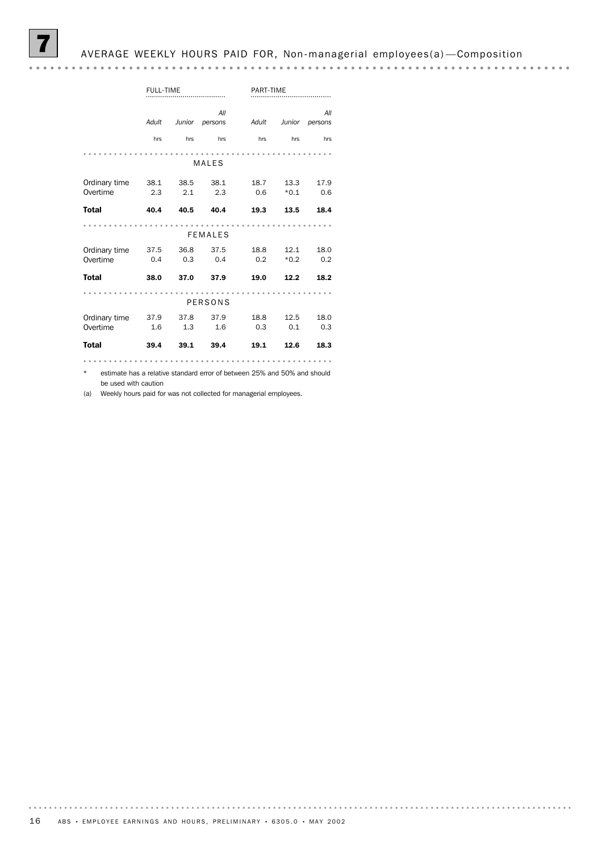7 AVERAGE WEEKLY HOURS PAID FOR, Non-managerial employees(a) —Composition

|               | <b>FULL-TIME</b> |        |                | PART-TIME |        |                |
|---------------|------------------|--------|----------------|-----------|--------|----------------|
|               | Adult            | Junior | All<br>persons | Adult     | Junior | All<br>persons |
|               | hrs              | hrs    | hrs            | hrs       | hrs    | hrs            |
|               |                  |        |                |           |        |                |
|               |                  |        | <b>MALES</b>   |           |        |                |
| Ordinary time | 38.1             | 38.5   | 38.1           | 18.7      | 13.3   | 17.9           |
| Overtime      | 2.3              | 2.1    | 2.3            | 0.6       | $*0.1$ | 0.6            |
| <b>Total</b>  | 40.4             | 40.5   | 40.4           | 19.3      | 13.5   | 18.4           |
|               |                  |        | <b>FEMALES</b> |           |        |                |
| Ordinary time | 37.5             | 36.8   | 37.5           | 18.8      | 12.1   | 18.0           |
| Overtime      | 0.4              | 0.3    | 0.4            | 0.2       | $*0.2$ | 0.2            |
| <b>Total</b>  | 38.0             | 37.0   | 37.9           | 19.0      | 12.2   | 18.2           |
|               |                  |        | <b>PERSONS</b> |           |        |                |
| Ordinary time | 37.9             | 37.8   | 37.9           | 18.8      | 12.5   | 18.0           |
| Overtime      | 1.6              | 1.3    | 1.6            | 0.3       | 0.1    | 0.3            |
| <b>Total</b>  | 39.4             | 39.1   | 39.4           | 19.1      | 12.6   | 18.3           |
|               |                  |        |                |           |        |                |

\* estimate has a relative standard error of between 25% and 50% and should be used with caution

(a) Weekly hours paid for was not collected for managerial employees.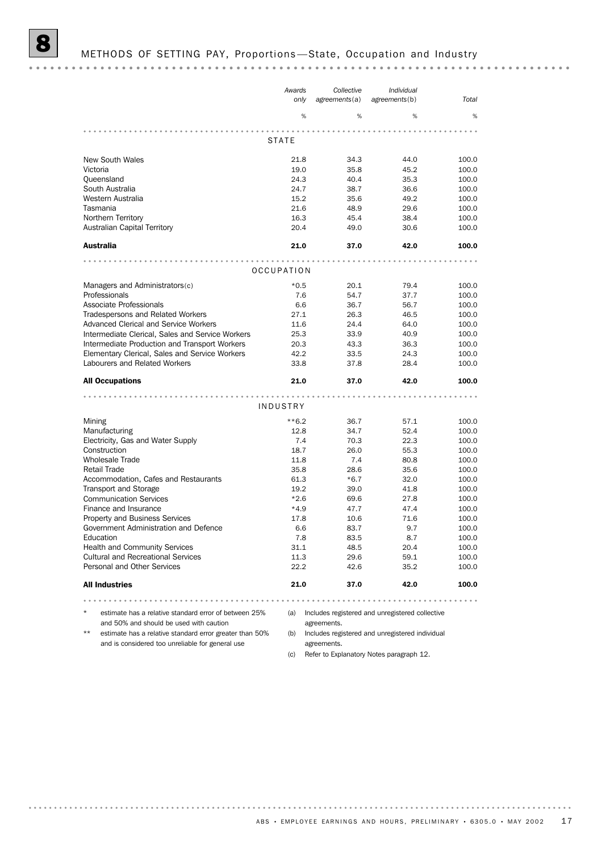|                                                       | Awards       | Collective                                      | Individual    |       |
|-------------------------------------------------------|--------------|-------------------------------------------------|---------------|-------|
|                                                       | only         | agreements(a)                                   | agreements(b) | Total |
|                                                       | %            | %                                               | %             | %     |
|                                                       |              |                                                 |               |       |
|                                                       | <b>STATE</b> |                                                 |               |       |
| <b>New South Wales</b>                                | 21.8         | 34.3                                            | 44.0          | 100.0 |
| Victoria                                              | 19.0         | 35.8                                            | 45.2          | 100.0 |
| Queensland                                            | 24.3         | 40.4                                            | 35.3          | 100.0 |
| South Australia                                       | 24.7         | 38.7                                            | 36.6          | 100.0 |
| Western Australia                                     | 15.2         | 35.6                                            | 49.2          | 100.0 |
| Tasmania                                              | 21.6         | 48.9                                            | 29.6          | 100.0 |
| Northern Territory                                    | 16.3         | 45.4                                            | 38.4          | 100.0 |
| Australian Capital Territory                          | 20.4         | 49.0                                            | 30.6          | 100.0 |
| <b>Australia</b>                                      | 21.0         | 37.0                                            | 42.0          | 100.0 |
|                                                       |              |                                                 |               |       |
|                                                       | OCCUPATION   |                                                 |               |       |
| Managers and Administrators(c)                        | $*0.5$       | 20.1                                            | 79.4          | 100.0 |
| Professionals                                         | 7.6          | 54.7                                            | 37.7          | 100.0 |
| Associate Professionals                               | 6.6          | 36.7                                            | 56.7          | 100.0 |
| <b>Tradespersons and Related Workers</b>              | 27.1         | 26.3                                            | 46.5          | 100.0 |
| <b>Advanced Clerical and Service Workers</b>          | 11.6         | 24.4                                            | 64.0          | 100.0 |
| Intermediate Clerical, Sales and Service Workers      | 25.3         | 33.9                                            | 40.9          | 100.0 |
| Intermediate Production and Transport Workers         | 20.3         | 43.3                                            | 36.3          | 100.0 |
| Elementary Clerical, Sales and Service Workers        | 42.2         | 33.5                                            | 24.3          | 100.0 |
| Labourers and Related Workers                         | 33.8         | 37.8                                            | 28.4          | 100.0 |
| <b>All Occupations</b>                                | 21.0         | 37.0                                            | 42.0          | 100.0 |
|                                                       |              |                                                 |               |       |
|                                                       | INDUSTRY     |                                                 |               |       |
| Mining                                                | $***6.2$     | 36.7                                            | 57.1          | 100.0 |
| Manufacturing                                         | 12.8         | 34.7                                            | 52.4          | 100.0 |
| Electricity, Gas and Water Supply                     | 7.4          | 70.3                                            | 22.3          | 100.0 |
| Construction                                          | 18.7         | 26.0                                            | 55.3          | 100.0 |
| <b>Wholesale Trade</b>                                | 11.8         | 7.4                                             | 80.8          | 100.0 |
| <b>Retail Trade</b>                                   | 35.8         | 28.6                                            | 35.6          | 100.0 |
| Accommodation, Cafes and Restaurants                  | 61.3         | $*6.7$                                          | 32.0          | 100.0 |
| <b>Transport and Storage</b>                          | 19.2         | 39.0                                            | 41.8          | 100.0 |
| <b>Communication Services</b>                         | $*2.6$       | 69.6                                            | 27.8          | 100.0 |
| Finance and Insurance                                 | $*4.9$       | 47.7                                            | 47.4          | 100.0 |
| <b>Property and Business Services</b>                 | 17.8         | 10.6                                            | 71.6          | 100.0 |
| Government Administration and Defence                 | 6.6          | 83.7                                            | 9.7           | 100.0 |
| Education                                             | 7.8          | 83.5                                            | 8.7           | 100.0 |
| <b>Health and Community Services</b>                  | 31.1         | 48.5                                            | 20.4          | 100.0 |
| <b>Cultural and Recreational Services</b>             | 11.3         | 29.6                                            | 59.1          | 100.0 |
| Personal and Other Services                           | 22.2         | 42.6                                            | 35.2          | 100.0 |
| <b>All Industries</b>                                 | 21.0         | 37.0                                            | 42.0          | 100.0 |
|                                                       |              |                                                 |               |       |
| estimate has a relative standard error of between 25% | (a)          | Includes registered and unregistered collective |               |       |
| and 50% and should be used with caution               |              | agreements.                                     |               |       |

- \*\* estimate has a relative standard error greater than 50% (b) Includes registered and unregistered individual and is considered too unreliable for general use
	- agreements.

(c) Refer to Explanatory Notes paragraph 12.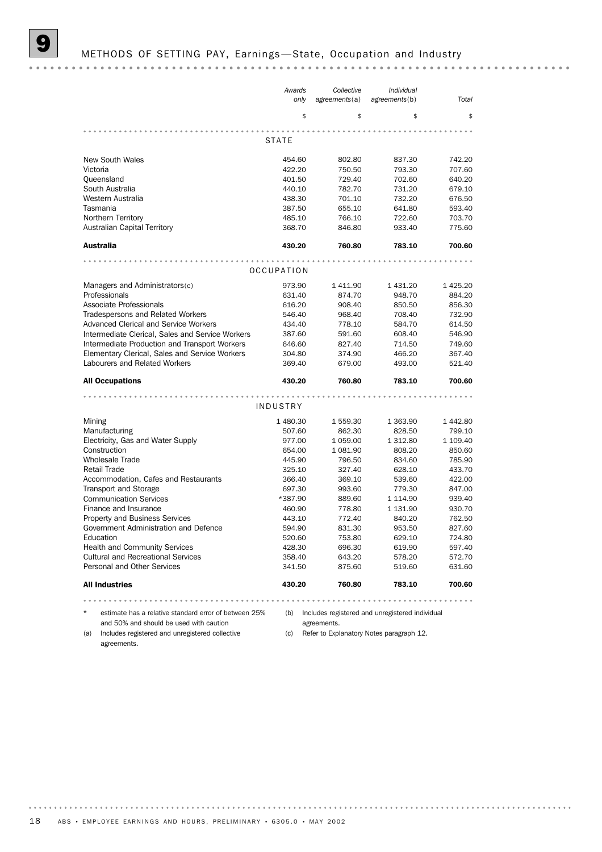|                                                       | Awards<br>only   | Collective<br>agreements(a)                     | Individual<br>agreements(b) | Total            |
|-------------------------------------------------------|------------------|-------------------------------------------------|-----------------------------|------------------|
|                                                       | \$               | \$                                              | \$                          | \$               |
|                                                       |                  |                                                 |                             |                  |
|                                                       | <b>STATE</b>     |                                                 |                             |                  |
| <b>New South Wales</b>                                | 454.60           | 802.80                                          | 837.30                      | 742.20           |
| Victoria                                              | 422.20           | 750.50                                          | 793.30                      | 707.60           |
| Queensland                                            | 401.50           | 729.40                                          | 702.60                      | 640.20           |
| South Australia                                       | 440.10           | 782.70                                          | 731.20                      | 679.10           |
| Western Australia                                     | 438.30           | 701.10                                          | 732.20                      | 676.50           |
| Tasmania                                              | 387.50           | 655.10                                          | 641.80                      | 593.40           |
| Northern Territory                                    | 485.10           | 766.10                                          | 722.60                      | 703.70           |
| <b>Australian Capital Territory</b>                   | 368.70           | 846.80                                          | 933.40                      | 775.60           |
| Australia                                             | 430.20           | 760.80                                          | 783.10                      | 700.60           |
|                                                       |                  |                                                 |                             |                  |
|                                                       | OCCUPATION       |                                                 |                             |                  |
| Managers and Administrators(c)                        | 973.90           | 1411.90                                         | 1 431.20                    | 1425.20          |
| Professionals                                         | 631.40           | 874.70                                          | 948.70                      | 884.20           |
| Associate Professionals                               | 616.20           | 908.40                                          | 850.50                      | 856.30           |
| <b>Tradespersons and Related Workers</b>              | 546.40           | 968.40                                          | 708.40                      | 732.90           |
| <b>Advanced Clerical and Service Workers</b>          | 434.40           | 778.10                                          | 584.70                      | 614.50           |
| Intermediate Clerical, Sales and Service Workers      | 387.60           | 591.60                                          | 608.40                      | 546.90           |
| Intermediate Production and Transport Workers         | 646.60           | 827.40                                          | 714.50                      | 749.60           |
| Elementary Clerical, Sales and Service Workers        | 304.80           | 374.90                                          | 466.20                      | 367.40           |
| Labourers and Related Workers                         | 369.40           | 679.00                                          | 493.00                      | 521.40           |
| <b>All Occupations</b>                                | 430.20           | 760.80                                          | 783.10                      | 700.60           |
|                                                       | INDUSTRY         |                                                 |                             |                  |
|                                                       |                  |                                                 |                             |                  |
| Mining                                                | 1 480.30         | 1559.30                                         | 1 363.90                    | 1442.80          |
| Manufacturing                                         | 507.60           | 862.30                                          | 828.50                      | 799.10           |
| Electricity, Gas and Water Supply                     | 977.00           | 1 0 5 9.0 0                                     | 1 3 1 2.80                  | 1 109.40         |
| Construction<br><b>Wholesale Trade</b>                | 654.00           | 1 081.90                                        | 808.20                      | 850.60           |
| <b>Retail Trade</b>                                   | 445.90<br>325.10 | 796.50<br>327.40                                | 834.60<br>628.10            | 785.90<br>433.70 |
| Accommodation, Cafes and Restaurants                  | 366.40           | 369.10                                          | 539.60                      | 422.00           |
| <b>Transport and Storage</b>                          | 697.30           | 993.60                                          | 779.30                      | 847.00           |
| <b>Communication Services</b>                         | *387.90          | 889.60                                          | 1 1 1 4 . 9 0               | 939.40           |
| Finance and Insurance                                 | 460.90           | 778.80                                          | 1 131.90                    | 930.70           |
| <b>Property and Business Services</b>                 | 443.10           | 772.40                                          | 840.20                      | 762.50           |
| Government Administration and Defence                 | 594.90           | 831.30                                          | 953.50                      | 827.60           |
| Education                                             | 520.60           | 753.80                                          | 629.10                      | 724.80           |
| Health and Community Services                         | 428.30           | 696.30                                          | 619.90                      | 597.40           |
| <b>Cultural and Recreational Services</b>             | 358.40           | 643.20                                          | 578.20                      | 572.70           |
| Personal and Other Services                           | 341.50           | 875.60                                          | 519.60                      | 631.60           |
| <b>All Industries</b>                                 | 430.20           | 760.80                                          | 783.10                      | 700.60           |
|                                                       | $-0.000$         |                                                 |                             |                  |
| estimate has a relative standard error of between 25% | (b)              | Includes registered and unregistered individual |                             |                  |
| and 50% and should be used with caution               |                  | agreements.                                     |                             |                  |

(a) Includes registered and unregistered collective (c) Refer to Explanatory Notes paragraph 12. agreements.

agreements.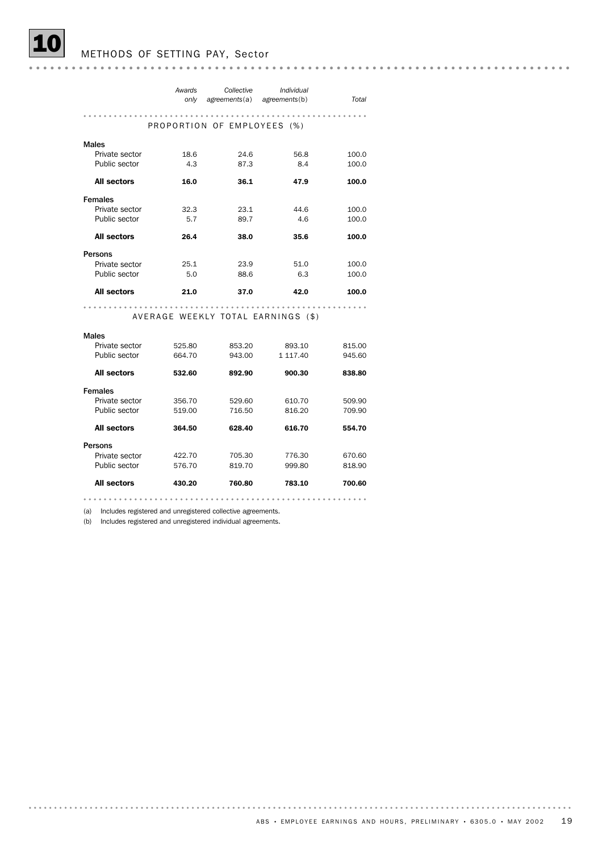|                    | Awards<br>only | Collective<br>agreements(a)        | Individual<br>agreements(b) | Total  |
|--------------------|----------------|------------------------------------|-----------------------------|--------|
|                    |                |                                    |                             |        |
|                    |                | PROPORTION OF EMPLOYEES (%)        |                             |        |
| <b>Males</b>       |                |                                    |                             |        |
| Private sector     | 18.6           | 24.6                               | 56.8                        | 100.0  |
| Public sector      | 4.3            | 87.3                               | 8.4                         | 100.0  |
| <b>All sectors</b> | 16.0           | 36.1                               | 47.9                        | 100.0  |
| <b>Females</b>     |                |                                    |                             |        |
| Private sector     | 32.3           | 23.1                               | 44.6                        | 100.0  |
| Public sector      | 5.7            | 89.7                               | 4.6                         | 100.0  |
| <b>All sectors</b> | 26.4           | 38.0                               | 35.6                        | 100.0  |
| Persons            |                |                                    |                             |        |
| Private sector     | 25.1           | 23.9                               | 51.0                        | 100.0  |
| Public sector      | 5.0            | 88.6                               | 6.3                         | 100.0  |
| <b>All sectors</b> | 21.0           | 37.0                               | 42.0                        | 100.0  |
|                    |                |                                    |                             |        |
|                    |                | AVERAGE WEEKLY TOTAL EARNINGS (\$) |                             |        |
| <b>Males</b>       |                |                                    |                             |        |
| Private sector     | 525.80         | 853.20                             | 893.10                      | 815.00 |
| Public sector      | 664.70         | 943.00                             | 1 117.40                    | 945.60 |
| <b>All sectors</b> | 532.60         | 892.90                             | 900.30                      | 838.80 |
| <b>Females</b>     |                |                                    |                             |        |
| Private sector     | 356.70         | 529.60                             | 610.70                      | 509.90 |
| Public sector      | 519.00         | 716.50                             | 816.20                      | 709.90 |
| <b>All sectors</b> | 364.50         | 628.40                             | 616.70                      | 554.70 |
| Persons            |                |                                    |                             |        |
| Private sector     | 422.70         | 705.30                             | 776.30                      | 670.60 |
| Public sector      | 576.70         | 819.70                             | 999.80                      | 818.90 |
| <b>All sectors</b> | 430.20         | 760.80                             | 783.10                      | 700.60 |
|                    |                |                                    |                             |        |

(a) Includes registered and unregistered collective agreements.

(b) Includes registered and unregistered individual agreements.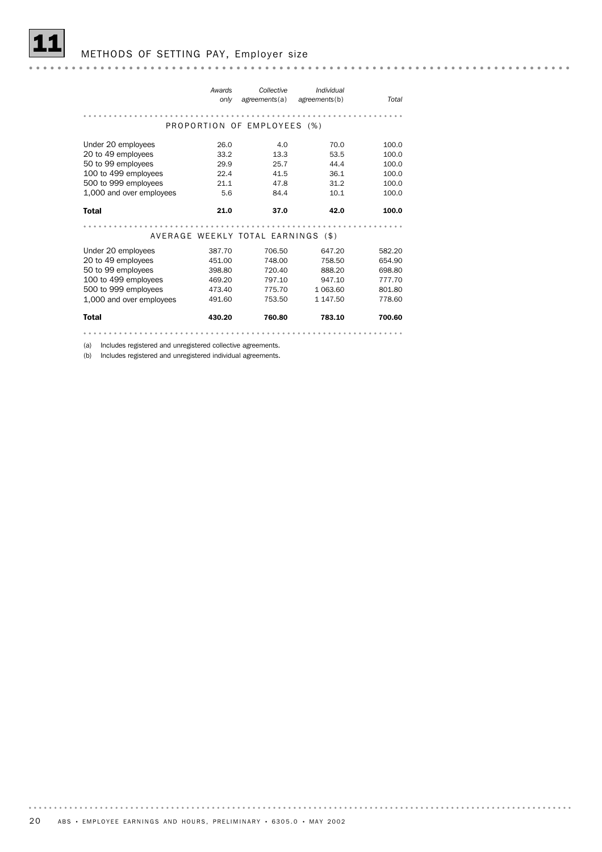| Awards<br>only | Collective<br>agreements(a) | Individual | Total                                                                              |
|----------------|-----------------------------|------------|------------------------------------------------------------------------------------|
|                |                             |            |                                                                                    |
|                |                             |            |                                                                                    |
| 26.0           | 4.0                         | 70.0       | 100.0                                                                              |
| 33.2           | 13.3                        | 53.5       | 100.0                                                                              |
| 29.9           | 25.7                        | 44.4       | 100.0                                                                              |
| 22.4           | 41.5                        | 36.1       | 100.0                                                                              |
| 21.1           | 47.8                        | 31.2       | 100.0                                                                              |
| 5.6            | 84.4                        | 10.1       | 100.0                                                                              |
| 21.0           | 37.0                        | 42.0       | 100.0                                                                              |
|                |                             |            |                                                                                    |
|                |                             |            |                                                                                    |
|                |                             |            |                                                                                    |
| 387.70         | 706.50                      | 647.20     | 582.20                                                                             |
| 451.00         | 748.00                      | 758.50     | 654.90                                                                             |
| 398.80         | 720.40                      | 888.20     | 698.80                                                                             |
| 469.20         | 797.10                      | 947.10     | 777.70                                                                             |
| 473.40         | 775.70                      | 1 063.60   | 801.80                                                                             |
| 491.60         | 753.50                      | 1 147.50   | 778.60                                                                             |
| 430.20         | 760.80                      | 783.10     | 700.60                                                                             |
|                |                             |            | agreements(b)<br>PROPORTION OF EMPLOYEES (%)<br>AVERAGE WEEKLY TOTAL EARNINGS (\$) |

(a) Includes registered and unregistered collective agreements.

(b) Includes registered and unregistered individual agreements.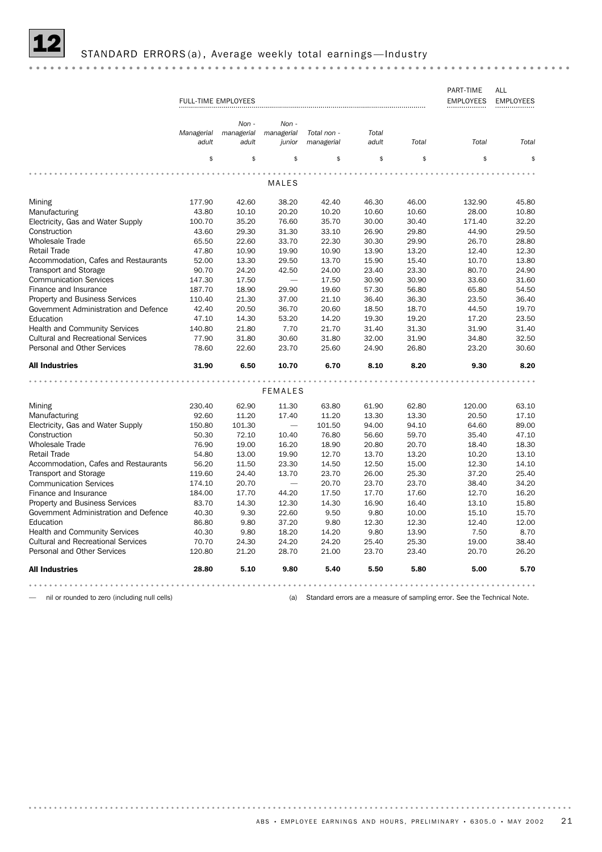

|--|--|

|                                           |            |                            |                          |             |       |       | PART-TIME        | ALL              |
|-------------------------------------------|------------|----------------------------|--------------------------|-------------|-------|-------|------------------|------------------|
|                                           |            | <b>FULL-TIME EMPLOYEES</b> |                          |             |       |       | <b>EMPLOYEES</b> | <b>EMPLOYEES</b> |
|                                           |            |                            |                          |             |       |       |                  |                  |
|                                           |            | Non -                      | $Non -$                  |             |       |       |                  |                  |
|                                           | Managerial | managerial                 | managerial               | Total non - | Total |       |                  |                  |
|                                           | adult      | adult                      | junior                   | managerial  | adult | Total | Total            | Total            |
|                                           |            |                            |                          |             |       |       |                  |                  |
|                                           | \$         | \$                         | \$                       | \$          | \$    | \$    | \$               | \$               |
|                                           |            |                            |                          |             |       |       |                  |                  |
|                                           |            |                            | MALES                    |             |       |       |                  |                  |
|                                           |            |                            |                          |             |       |       |                  |                  |
| Mining                                    | 177.90     | 42.60                      | 38.20                    | 42.40       | 46.30 | 46.00 | 132.90           | 45.80            |
| Manufacturing                             | 43.80      | 10.10                      | 20.20                    | 10.20       | 10.60 | 10.60 | 28.00            | 10.80            |
| Electricity, Gas and Water Supply         | 100.70     | 35.20                      | 76.60                    | 35.70       | 30.00 | 30.40 | 171.40           | 32.20            |
| Construction                              | 43.60      | 29.30                      | 31.30                    | 33.10       | 26.90 | 29.80 | 44.90            | 29.50            |
| <b>Wholesale Trade</b>                    | 65.50      | 22.60                      | 33.70                    | 22.30       | 30.30 | 29.90 | 26.70            | 28.80            |
| <b>Retail Trade</b>                       | 47.80      | 10.90                      | 19.90                    | 10.90       | 13.90 | 13.20 | 12.40            | 12.30            |
| Accommodation, Cafes and Restaurants      | 52.00      | 13.30                      | 29.50                    | 13.70       | 15.90 | 15.40 | 10.70            | 13.80            |
| <b>Transport and Storage</b>              | 90.70      | 24.20                      | 42.50                    | 24.00       | 23.40 | 23.30 | 80.70            | 24.90            |
| <b>Communication Services</b>             | 147.30     | 17.50                      | $\overline{\phantom{0}}$ | 17.50       | 30.90 | 30.90 | 33.60            | 31.60            |
| Finance and Insurance                     | 187.70     | 18.90                      | 29.90                    | 19.60       | 57.30 | 56.80 | 65.80            | 54.50            |
| <b>Property and Business Services</b>     | 110.40     | 21.30                      | 37.00                    | 21.10       | 36.40 | 36.30 | 23.50            | 36.40            |
| Government Administration and Defence     | 42.40      | 20.50                      | 36.70                    | 20.60       | 18.50 | 18.70 | 44.50            | 19.70            |
| Education                                 | 47.10      | 14.30                      | 53.20                    | 14.20       | 19.30 | 19.20 | 17.20            | 23.50            |
| <b>Health and Community Services</b>      | 140.80     | 21.80                      | 7.70                     | 21.70       | 31.40 | 31.30 | 31.90            | 31.40            |
| <b>Cultural and Recreational Services</b> | 77.90      | 31.80                      | 30.60                    | 31.80       | 32.00 | 31.90 | 34.80            | 32.50            |
| Personal and Other Services               | 78.60      | 22.60                      | 23.70                    | 25.60       | 24.90 | 26.80 | 23.20            | 30.60            |
|                                           |            |                            |                          |             |       |       |                  |                  |
| <b>All Industries</b>                     | 31.90      | 6.50                       | 10.70                    | 6.70        | 8.10  | 8.20  | 9.30             | 8.20             |
|                                           |            |                            |                          |             |       |       |                  |                  |
|                                           |            |                            | <b>FEMALES</b>           |             |       |       |                  |                  |
|                                           |            |                            |                          |             |       |       |                  |                  |
| Mining                                    | 230.40     | 62.90                      | 11.30                    | 63.80       | 61.90 | 62.80 | 120.00           | 63.10            |
| Manufacturing                             | 92.60      | 11.20                      | 17.40                    | 11.20       | 13.30 | 13.30 | 20.50            | 17.10            |
| Electricity, Gas and Water Supply         | 150.80     | 101.30                     |                          | 101.50      | 94.00 | 94.10 | 64.60            | 89.00            |
| Construction                              | 50.30      | 72.10                      | 10.40                    | 76.80       | 56.60 | 59.70 | 35.40            | 47.10            |
| <b>Wholesale Trade</b>                    | 76.90      | 19.00                      | 16.20                    | 18.90       | 20.80 | 20.70 | 18.40            | 18.30            |
| <b>Retail Trade</b>                       | 54.80      | 13.00                      | 19.90                    | 12.70       | 13.70 | 13.20 | 10.20            | 13.10            |
| Accommodation, Cafes and Restaurants      | 56.20      | 11.50                      | 23.30                    | 14.50       | 12.50 | 15.00 | 12.30            | 14.10            |
| <b>Transport and Storage</b>              | 119.60     | 24.40                      | 13.70                    | 23.70       | 26.00 | 25.30 | 37.20            | 25.40            |
| <b>Communication Services</b>             | 174.10     | 20.70                      | $\overline{\phantom{0}}$ | 20.70       | 23.70 | 23.70 | 38.40            | 34.20            |
| Finance and Insurance                     | 184.00     | 17.70                      | 44.20                    | 17.50       | 17.70 | 17.60 | 12.70            | 16.20            |
| <b>Property and Business Services</b>     | 83.70      | 14.30                      | 12.30                    | 14.30       | 16.90 | 16.40 | 13.10            | 15.80            |
| Government Administration and Defence     | 40.30      | 9.30                       | 22.60                    | 9.50        | 9.80  | 10.00 | 15.10            | 15.70            |
| Education                                 | 86.80      | 9.80                       | 37.20                    | 9.80        | 12.30 | 12.30 | 12.40            | 12.00            |
| <b>Health and Community Services</b>      | 40.30      | 9.80                       | 18.20                    | 14.20       | 9.80  | 13.90 | 7.50             | 8.70             |
| <b>Cultural and Recreational Services</b> | 70.70      | 24.30                      | 24.20                    | 24.20       | 25.40 | 25.30 | 19.00            | 38.40            |
| Personal and Other Services               | 120.80     | 21.20                      | 28.70                    | 21.00       | 23.70 | 23.40 | 20.70            | 26.20            |
| <b>All Industries</b>                     | 28.80      | 5.10                       | 9.80                     | 5.40        | 5.50  | 5.80  | 5.00             | 5.70             |
|                                           |            |                            |                          |             |       |       |                  |                  |
|                                           |            |                            |                          |             |       |       |                  |                  |

— nil or rounded to zero (including null cells) (a) Standard errors are a measure of sampling error. See the Technical Note.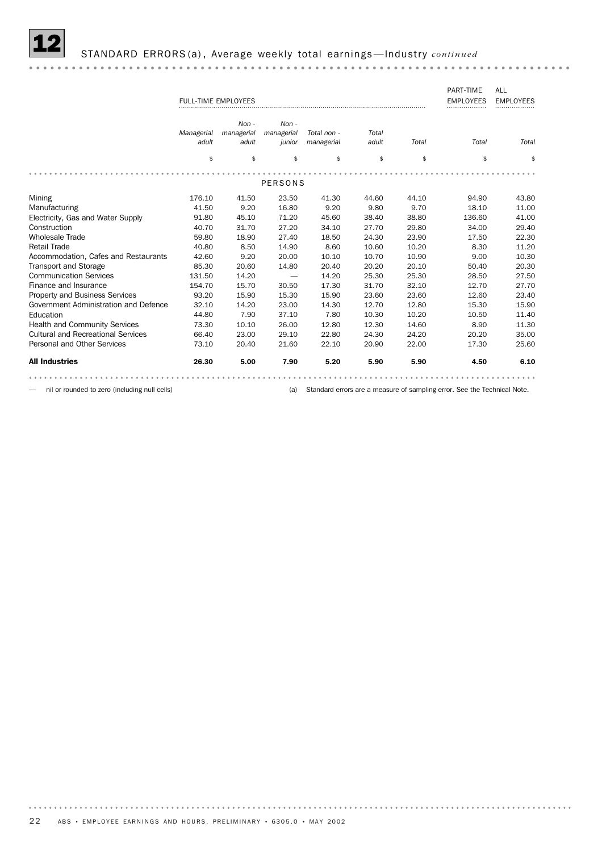

|                                           | <b>FULL-TIME EMPLOYEES</b> |            |                |             |       |       | PART-TIME<br><b>EMPLOYEES</b> | ALL<br><b>EMPLOYEES</b> |
|-------------------------------------------|----------------------------|------------|----------------|-------------|-------|-------|-------------------------------|-------------------------|
|                                           |                            | $Non -$    | $Non -$        |             |       |       |                               |                         |
|                                           | Managerial                 | managerial | managerial     | Total non - | Total |       |                               |                         |
|                                           | adult                      | adult      | junior         | managerial  | adult | Total | Total                         | Total                   |
|                                           | \$                         | \$         | \$             | \$          | \$    | \$    | \$                            | \$                      |
|                                           |                            |            | <b>PERSONS</b> |             |       |       |                               |                         |
|                                           |                            |            |                |             |       |       |                               |                         |
| Mining                                    | 176.10                     | 41.50      | 23.50          | 41.30       | 44.60 | 44.10 | 94.90                         | 43.80                   |
| Manufacturing                             | 41.50                      | 9.20       | 16.80          | 9.20        | 9.80  | 9.70  | 18.10                         | 11.00                   |
| Electricity, Gas and Water Supply         | 91.80                      | 45.10      | 71.20          | 45.60       | 38.40 | 38.80 | 136.60                        | 41.00                   |
| Construction                              | 40.70                      | 31.70      | 27.20          | 34.10       | 27.70 | 29.80 | 34.00                         | 29.40                   |
| <b>Wholesale Trade</b>                    | 59.80                      | 18.90      | 27.40          | 18.50       | 24.30 | 23.90 | 17.50                         | 22.30                   |
| <b>Retail Trade</b>                       | 40.80                      | 8.50       | 14.90          | 8.60        | 10.60 | 10.20 | 8.30                          | 11.20                   |
| Accommodation, Cafes and Restaurants      | 42.60                      | 9.20       | 20.00          | 10.10       | 10.70 | 10.90 | 9.00                          | 10.30                   |
| <b>Transport and Storage</b>              | 85.30                      | 20.60      | 14.80          | 20.40       | 20.20 | 20.10 | 50.40                         | 20.30                   |
| <b>Communication Services</b>             | 131.50                     | 14.20      |                | 14.20       | 25.30 | 25.30 | 28.50                         | 27.50                   |
| Finance and Insurance                     | 154.70                     | 15.70      | 30.50          | 17.30       | 31.70 | 32.10 | 12.70                         | 27.70                   |
| <b>Property and Business Services</b>     | 93.20                      | 15.90      | 15.30          | 15.90       | 23.60 | 23.60 | 12.60                         | 23.40                   |
| Government Administration and Defence     | 32.10                      | 14.20      | 23.00          | 14.30       | 12.70 | 12.80 | 15.30                         | 15.90                   |
| Education                                 | 44.80                      | 7.90       | 37.10          | 7.80        | 10.30 | 10.20 | 10.50                         | 11.40                   |
| <b>Health and Community Services</b>      | 73.30                      | 10.10      | 26.00          | 12.80       | 12.30 | 14.60 | 8.90                          | 11.30                   |
| <b>Cultural and Recreational Services</b> | 66.40                      | 23.00      | 29.10          | 22.80       | 24.30 | 24.20 | 20.20                         | 35.00                   |
| <b>Personal and Other Services</b>        | 73.10                      | 20.40      | 21.60          | 22.10       | 20.90 | 22.00 | 17.30                         | 25.60                   |
| <b>All Industries</b>                     | 26.30                      | 5.00       | 7.90           | 5.20        | 5.90  | 5.90  | 4.50                          | 6.10                    |
|                                           |                            |            |                |             |       |       |                               |                         |

— nil or rounded to zero (including null cells) (a) Standard errors are a measure of sampling error. See the Technical Note.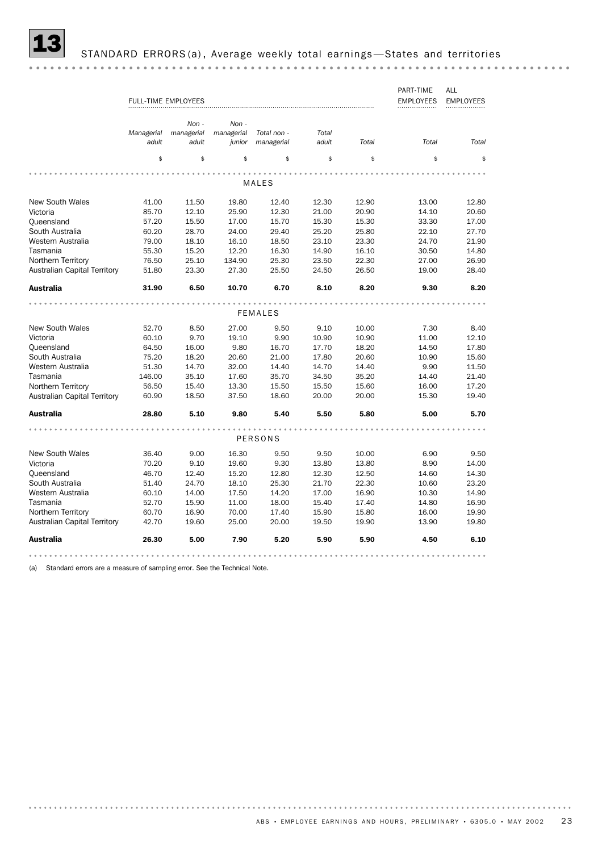

STANDARD ERRORS (a), Average weekly total earnings -States and territories

|                                     | <b>FULL-TIME EMPLOYEES</b> |                     |                      |                           |                |       | PART-TIME<br><b>EMPLOYEES</b> | ALL<br><b>EMPLOYEES</b> |
|-------------------------------------|----------------------------|---------------------|----------------------|---------------------------|----------------|-------|-------------------------------|-------------------------|
|                                     |                            | Non -               | Non -                |                           |                |       |                               |                         |
|                                     | Managerial<br>adult        | managerial<br>adult | managerial<br>junior | Total non -<br>managerial | Total<br>adult | Total | Total                         | Total                   |
|                                     | \$                         | \$                  | \$                   | \$                        | \$             | \$    | \$                            | \$                      |
|                                     |                            |                     |                      |                           |                |       |                               |                         |
|                                     |                            |                     |                      | MALES                     |                |       |                               |                         |
| <b>New South Wales</b>              | 41.00                      | 11.50               | 19.80                | 12.40                     | 12.30          | 12.90 | 13.00                         | 12.80                   |
| Victoria                            | 85.70                      | 12.10               | 25.90                | 12.30                     | 21.00          | 20.90 | 14.10                         | 20.60                   |
| Queensland                          | 57.20                      | 15.50               | 17.00                | 15.70                     | 15.30          | 15.30 | 33.30                         | 17.00                   |
| South Australia                     | 60.20                      | 28.70               | 24.00                | 29.40                     | 25.20          | 25.80 | 22.10                         | 27.70                   |
| Western Australia                   | 79.00                      | 18.10               | 16.10                | 18.50                     | 23.10          | 23.30 | 24.70                         | 21.90                   |
| Tasmania                            | 55.30                      | 15.20               | 12.20                | 16.30                     | 14.90          | 16.10 | 30.50                         | 14.80                   |
| Northern Territory                  | 76.50                      | 25.10               | 134.90               | 25.30                     | 23.50          | 22.30 | 27.00                         | 26.90                   |
| <b>Australian Capital Territory</b> | 51.80                      | 23.30               | 27.30                | 25.50                     | 24.50          | 26.50 | 19.00                         | 28.40                   |
| Australia                           | 31.90                      | 6.50                | 10.70                | 6.70                      | 8.10           | 8.20  | 9.30                          | 8.20                    |
|                                     |                            |                     |                      |                           |                |       |                               |                         |
|                                     |                            |                     |                      | <b>FEMALES</b>            |                |       |                               |                         |
| <b>New South Wales</b>              | 52.70                      | 8.50                | 27.00                | 9.50                      | 9.10           | 10.00 | 7.30                          | 8.40                    |
| Victoria                            | 60.10                      | 9.70                | 19.10                | 9.90                      | 10.90          | 10.90 | 11.00                         | 12.10                   |
| Queensland                          | 64.50                      | 16.00               | 9.80                 | 16.70                     | 17.70          | 18.20 | 14.50                         | 17.80                   |
| South Australia                     | 75.20                      | 18.20               | 20.60                | 21.00                     | 17.80          | 20.60 | 10.90                         | 15.60                   |
| Western Australia                   | 51.30                      | 14.70               | 32.00                | 14.40                     | 14.70          | 14.40 | 9.90                          | 11.50                   |
| Tasmania                            | 146.00                     | 35.10               | 17.60                | 35.70                     | 34.50          | 35.20 | 14.40                         | 21.40                   |
| Northern Territory                  | 56.50                      | 15.40               | 13.30                | 15.50                     | 15.50          | 15.60 | 16.00                         | 17.20                   |
| <b>Australian Capital Territory</b> | 60.90                      | 18.50               | 37.50                | 18.60                     | 20.00          | 20.00 | 15.30                         | 19.40                   |
| Australia                           | 28.80                      | 5.10                | 9.80                 | 5.40                      | 5.50           | 5.80  | 5.00                          | 5.70                    |
|                                     |                            |                     |                      |                           |                |       |                               |                         |
|                                     |                            |                     |                      | PERSONS                   |                |       |                               |                         |
| <b>New South Wales</b>              | 36.40                      | 9.00                | 16.30                | 9.50                      | 9.50           | 10.00 | 6.90                          | 9.50                    |
| Victoria                            | 70.20                      | 9.10                | 19.60                | 9.30                      | 13.80          | 13.80 | 8.90                          | 14.00                   |
| Queensland                          | 46.70                      | 12.40               | 15.20                | 12.80                     | 12.30          | 12.50 | 14.60                         | 14.30                   |
| South Australia                     | 51.40                      | 24.70               | 18.10                | 25.30                     | 21.70          | 22.30 | 10.60                         | 23.20                   |
| Western Australia                   | 60.10                      | 14.00               | 17.50                | 14.20                     | 17.00          | 16.90 | 10.30                         | 14.90                   |
| Tasmania                            | 52.70                      | 15.90               | 11.00                | 18.00                     | 15.40          | 17.40 | 14.80                         | 16.90                   |
| Northern Territory                  | 60.70                      | 16.90               | 70.00                | 17.40                     | 15.90          | 15.80 | 16.00                         | 19.90                   |
| <b>Australian Capital Territory</b> | 42.70                      | 19.60               | 25.00                | 20.00                     | 19.50          | 19.90 | 13.90                         | 19.80                   |
| <b>Australia</b>                    | 26.30                      | 5.00                | 7.90                 | 5.20                      | 5.90           | 5.90  | 4.50                          | 6.10                    |
|                                     |                            |                     |                      |                           |                |       |                               |                         |

(a) Standard errors are a measure of sampling error. See the Technical Note.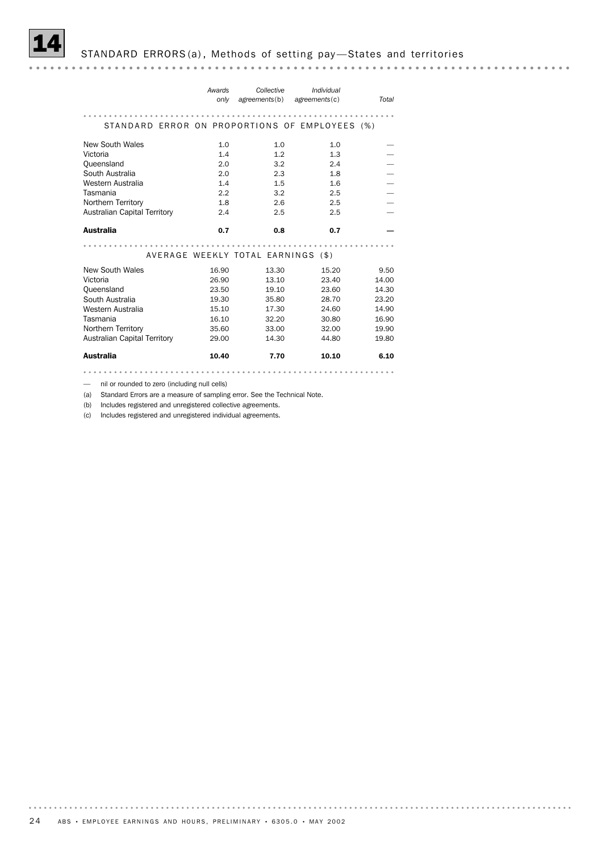

|                                                | Awards<br>only | Collective<br>agreements(b)        | Individual<br>$a$ greements $(c)$ | Total |
|------------------------------------------------|----------------|------------------------------------|-----------------------------------|-------|
| STANDARD ERROR ON PROPORTIONS OF EMPLOYEES (%) |                |                                    |                                   |       |
| <b>New South Wales</b>                         | 1.0            | 1.0                                | 1.0                               |       |
| Victoria                                       | 1.4            | 1.2                                | 1.3                               |       |
| Queensland                                     | 2.0            | 3.2                                | 2.4                               |       |
| South Australia                                | 2.0            | 2.3                                | 1.8                               |       |
| Western Australia                              | 1.4            | 1.5                                | 1.6                               |       |
| Tasmania                                       | 2.2            | 3.2                                | 2.5                               |       |
| Northern Territory                             | 1.8            | 2.6                                | 2.5                               |       |
| <b>Australian Capital Territory</b>            | 2.4            | 2.5                                | 2.5                               |       |
| <b>Australia</b>                               | 0.7            | 0.8                                | 0.7                               |       |
|                                                |                |                                    |                                   |       |
|                                                |                | AVERAGE WEEKLY TOTAL EARNINGS (\$) |                                   |       |
| New South Wales                                | 16.90          | 13.30                              | 15.20                             | 9.50  |
| Victoria                                       | 26.90          | 13.10                              | 23.40                             | 14.00 |
| Queensland                                     | 23.50          | 19.10                              | 23.60                             | 14.30 |
| South Australia                                | 19.30          | 35.80                              | 28.70                             | 23.20 |
| Western Australia                              | 15.10          | 17.30                              | 24.60                             | 14.90 |
| Tasmania                                       | 16.10          | 32.20                              | 30.80                             | 16.90 |
| Northern Territory                             | 35.60          | 33.00                              | 32.00                             | 19.90 |
| <b>Australian Capital Territory</b>            | 29.00          | 14.30                              | 44.80                             | 19.80 |
| <b>Australia</b>                               | 10.40          | 7.70                               | 10.10                             | 6.10  |

— nil or rounded to zero (including null cells)

(a) Standard Errors are a measure of sampling error. See the Technical Note.

(b) Includes registered and unregistered collective agreements.

(c) Includes registered and unregistered individual agreements.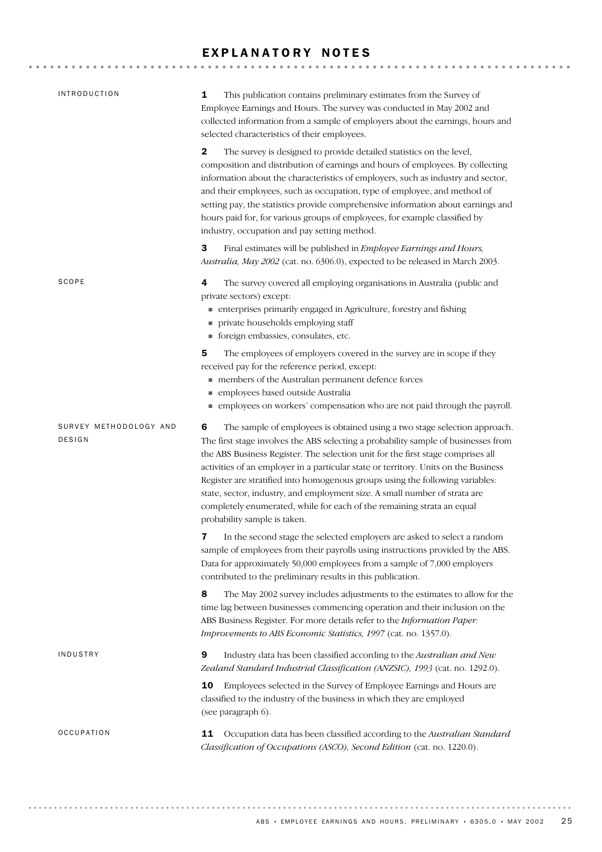### EXPLANATORY NOTES

| <b>INTRODUCTION</b>                     | 1<br>This publication contains preliminary estimates from the Survey of<br>Employee Earnings and Hours. The survey was conducted in May 2002 and<br>collected information from a sample of employers about the earnings, hours and<br>selected characteristics of their employees.                                                                                                                                                                                                                                                                                                                                      |
|-----------------------------------------|-------------------------------------------------------------------------------------------------------------------------------------------------------------------------------------------------------------------------------------------------------------------------------------------------------------------------------------------------------------------------------------------------------------------------------------------------------------------------------------------------------------------------------------------------------------------------------------------------------------------------|
|                                         | $\mathbf{2}$<br>The survey is designed to provide detailed statistics on the level,<br>composition and distribution of earnings and hours of employees. By collecting<br>information about the characteristics of employers, such as industry and sector,<br>and their employees, such as occupation, type of employee, and method of<br>setting pay, the statistics provide comprehensive information about earnings and<br>hours paid for, for various groups of employees, for example classified by<br>industry, occupation and pay setting method.                                                                 |
|                                         | 3<br>Final estimates will be published in Employee Earnings and Hours,<br>Australia, May 2002 (cat. no. 6306.0), expected to be released in March 2003.                                                                                                                                                                                                                                                                                                                                                                                                                                                                 |
| SCOPE                                   | 4<br>The survey covered all employing organisations in Australia (public and<br>private sectors) except:<br>• enterprises primarily engaged in Agriculture, forestry and fishing<br>private households employing staff<br>■ foreign embassies, consulates, etc.                                                                                                                                                                                                                                                                                                                                                         |
|                                         | 5<br>The employees of employers covered in the survey are in scope if they<br>received pay for the reference period, except:<br>members of the Australian permanent defence forces<br>· employees based outside Australia<br>• employees on workers' compensation who are not paid through the payroll.                                                                                                                                                                                                                                                                                                                 |
| SURVEY METHODOLOGY AND<br><b>DESIGN</b> | 6<br>The sample of employees is obtained using a two stage selection approach.<br>The first stage involves the ABS selecting a probability sample of businesses from<br>the ABS Business Register. The selection unit for the first stage comprises all<br>activities of an employer in a particular state or territory. Units on the Business<br>Register are stratified into homogenous groups using the following variables:<br>state, sector, industry, and employment size. A small number of strata are<br>completely enumerated, while for each of the remaining strata an equal<br>probability sample is taken. |
|                                         | In the second stage the selected employers are asked to select a random<br>sample of employees from their payrolls using instructions provided by the ABS.<br>Data for approximately 50,000 employees from a sample of 7,000 employers<br>contributed to the preliminary results in this publication.                                                                                                                                                                                                                                                                                                                   |
|                                         | 8<br>The May 2002 survey includes adjustments to the estimates to allow for the<br>time lag between businesses commencing operation and their inclusion on the<br>ABS Business Register. For more details refer to the Information Paper:<br>Improvements to ABS Economic Statistics, 1997 (cat. no. 1357.0).                                                                                                                                                                                                                                                                                                           |
| INDUSTRY                                | 9<br>Industry data has been classified according to the Australian and New<br>Zealand Standard Industrial Classification (ANZSIC), 1993 (cat. no. 1292.0).                                                                                                                                                                                                                                                                                                                                                                                                                                                              |
|                                         | Employees selected in the Survey of Employee Earnings and Hours are<br>10<br>classified to the industry of the business in which they are employed<br>(see paragraph 6).                                                                                                                                                                                                                                                                                                                                                                                                                                                |
| <b>OCCUPATION</b>                       | Occupation data has been classified according to the Australian Standard<br>11<br>Classification of Occupations (ASCO), Second Edition (cat. no. 1220.0).                                                                                                                                                                                                                                                                                                                                                                                                                                                               |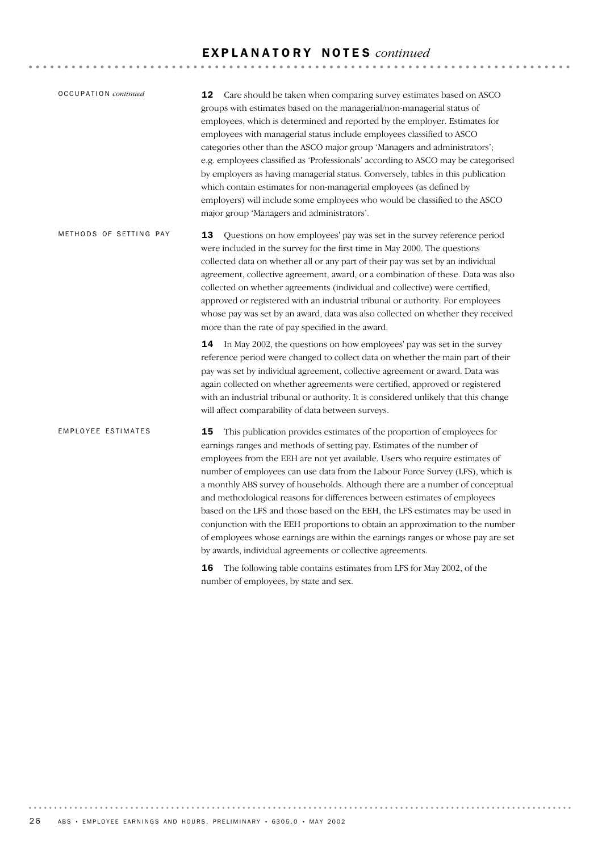# E X P L A N A T O R Y N O T E S *continued*

| <b>OCCUPATION</b> continued | Care should be taken when comparing survey estimates based on ASCO<br>12.<br>groups with estimates based on the managerial/non-managerial status of<br>employees, which is determined and reported by the employer. Estimates for<br>employees with managerial status include employees classified to ASCO<br>categories other than the ASCO major group 'Managers and administrators';<br>e.g. employees classified as 'Professionals' according to ASCO may be categorised<br>by employers as having managerial status. Conversely, tables in this publication<br>which contain estimates for non-managerial employees (as defined by<br>employers) will include some employees who would be classified to the ASCO<br>major group 'Managers and administrators'.                                      |
|-----------------------------|----------------------------------------------------------------------------------------------------------------------------------------------------------------------------------------------------------------------------------------------------------------------------------------------------------------------------------------------------------------------------------------------------------------------------------------------------------------------------------------------------------------------------------------------------------------------------------------------------------------------------------------------------------------------------------------------------------------------------------------------------------------------------------------------------------|
| METHODS OF SETTING PAY      | 13<br>Questions on how employees' pay was set in the survey reference period<br>were included in the survey for the first time in May 2000. The questions<br>collected data on whether all or any part of their pay was set by an individual<br>agreement, collective agreement, award, or a combination of these. Data was also<br>collected on whether agreements (individual and collective) were certified,<br>approved or registered with an industrial tribunal or authority. For employees<br>whose pay was set by an award, data was also collected on whether they received<br>more than the rate of pay specified in the award.                                                                                                                                                                |
|                             | 14<br>In May 2002, the questions on how employees' pay was set in the survey<br>reference period were changed to collect data on whether the main part of their<br>pay was set by individual agreement, collective agreement or award. Data was<br>again collected on whether agreements were certified, approved or registered<br>with an industrial tribunal or authority. It is considered unlikely that this change<br>will affect comparability of data between surveys.                                                                                                                                                                                                                                                                                                                            |
| <b>EMPLOYEE ESTIMATES</b>   | 15<br>This publication provides estimates of the proportion of employees for<br>earnings ranges and methods of setting pay. Estimates of the number of<br>employees from the EEH are not yet available. Users who require estimates of<br>number of employees can use data from the Labour Force Survey (LFS), which is<br>a monthly ABS survey of households. Although there are a number of conceptual<br>and methodological reasons for differences between estimates of employees<br>based on the LFS and those based on the EEH, the LFS estimates may be used in<br>conjunction with the EEH proportions to obtain an approximation to the number<br>of employees whose earnings are within the earnings ranges or whose pay are set<br>by awards, individual agreements or collective agreements. |

16 The following table contains estimates from LFS for May 2002, of the number of employees, by state and sex.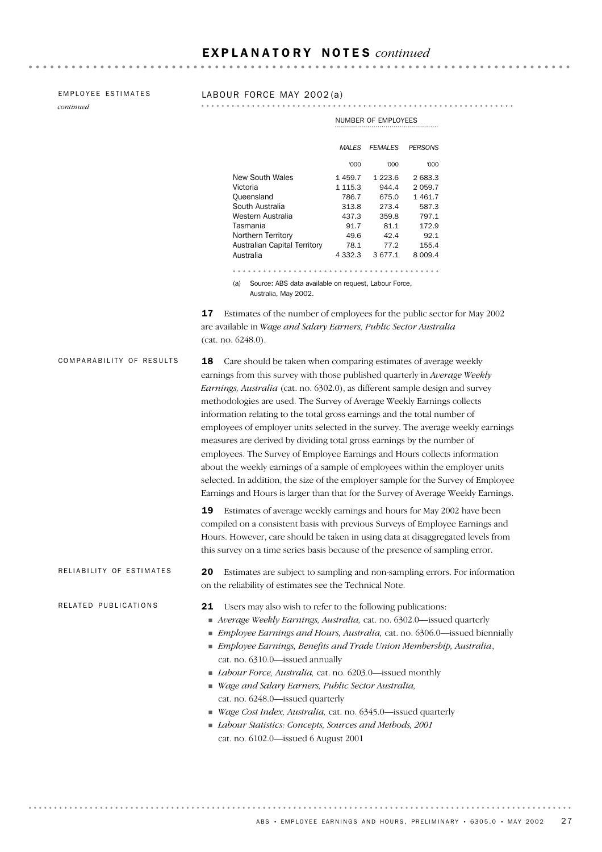*continued*

EMPLOYEE ESTIMATES<br>
continued<br>

continued  $\cdots \bullet \bullet \bullet \bullet \bullet \bullet \bullet \bullet \bullet \bullet \bullet \bullet \bullet \bullet \bullet$ 

NUMBER OF EMPLOYEES

|                              | MAI FS      | <b>FEMALES</b> | <b>PERSONS</b> |
|------------------------------|-------------|----------------|----------------|
|                              | 000'        | 000'           | '000           |
| New South Wales              | 1459.7      | 1 2 2 3 . 6    | 2683.3         |
| Victoria                     | 1 1 1 5 . 3 | 944.4          | 2059.7         |
| Queensland                   | 786.7       | 675.0          | 1461.7         |
| South Australia              | 313.8       | 273.4          | 587.3          |
| Western Australia            | 437.3       | 359.8          | 797.1          |
| Tasmania                     | 91.7        | 81.1           | 172.9          |
| Northern Territory           | 49.6        | 42.4           | 92.1           |
| Australian Capital Territory | 78.1        | 77.2           | 155.4          |
| Australia                    | 4 332.3     | 3677.1         | 8 009.4        |

(a) Source: ABS data available on request, Labour Force, Australia, May 2002.

17 Estimates of the number of employees for the public sector for May 2002 are available in *Wage and Salary Earners, Public Sector Australia* (cat. no. 6248.0).

| COMPARABILITY OF RESULTS | Care should be taken when comparing estimates of average weekly<br>18<br>earnings from this survey with those published quarterly in Average Weekly<br>Earnings, Australia (cat. no. 6302.0), as different sample design and survey<br>methodologies are used. The Survey of Average Weekly Earnings collects<br>information relating to the total gross earnings and the total number of<br>employees of employer units selected in the survey. The average weekly earnings<br>measures are derived by dividing total gross earnings by the number of<br>employees. The Survey of Employee Earnings and Hours collects information<br>about the weekly earnings of a sample of employees within the employer units<br>selected. In addition, the size of the employer sample for the Survey of Employee<br>Earnings and Hours is larger than that for the Survey of Average Weekly Earnings. |
|--------------------------|-----------------------------------------------------------------------------------------------------------------------------------------------------------------------------------------------------------------------------------------------------------------------------------------------------------------------------------------------------------------------------------------------------------------------------------------------------------------------------------------------------------------------------------------------------------------------------------------------------------------------------------------------------------------------------------------------------------------------------------------------------------------------------------------------------------------------------------------------------------------------------------------------|
|                          | 19<br>Estimates of average weekly earnings and hours for May 2002 have been<br>compiled on a consistent basis with previous Surveys of Employee Earnings and<br>Hours. However, care should be taken in using data at disaggregated levels from<br>this survey on a time series basis because of the presence of sampling error.                                                                                                                                                                                                                                                                                                                                                                                                                                                                                                                                                              |
| RELIABILITY OF ESTIMATES | Estimates are subject to sampling and non-sampling errors. For information<br>20<br>on the reliability of estimates see the Technical Note.                                                                                                                                                                                                                                                                                                                                                                                                                                                                                                                                                                                                                                                                                                                                                   |
| RELATED PUBLICATIONS     | Users may also wish to refer to the following publications:<br>21<br>■ Average Weekly Earnings, Australia, cat. no. 6302.0—issued quarterly<br>Employee Earnings and Hours, Australia, cat. no. 6306.0-issued biennially<br>Employee Earnings, Benefits and Trade Union Membership, Australia,<br>cat. no. 6310.0-issued annually<br>Labour Force, Australia, cat. no. 6203.0—issued monthly<br>Wage and Salary Earners, Public Sector Australia,<br>cat. no. 6248.0-issued quarterly<br>Wage Cost Index, Australia, cat. no. 6345.0-issued quarterly<br>Labour Statistics: Concepts, Sources and Methods, 2001<br>cat. no. 6102.0-issued 6 August 2001                                                                                                                                                                                                                                       |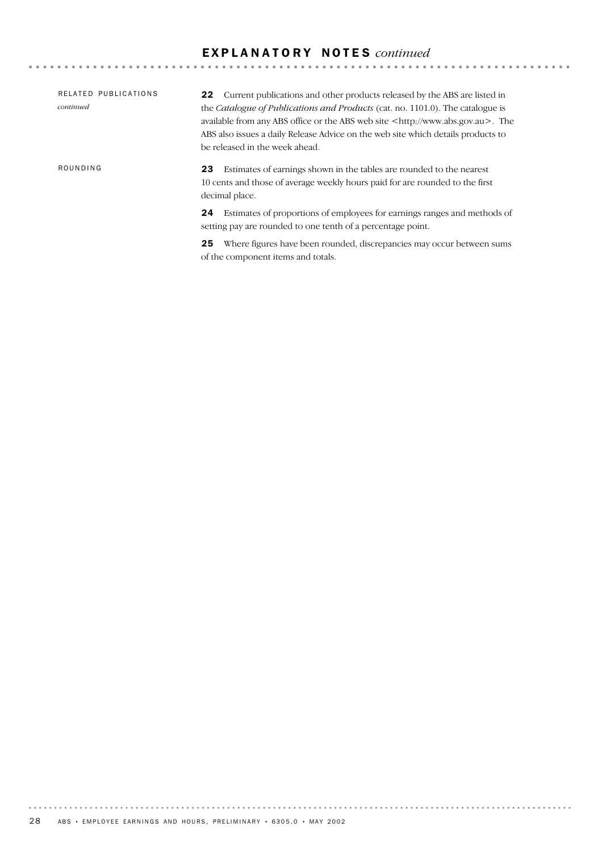# E X P L A N A T O R Y N O T E S *continued*

| RELATED PUBLICATIONS<br>continued | Current publications and other products released by the ABS are listed in<br>22<br>the <i>Catalogue of Publications and Products</i> (cat. no. 1101.0). The catalogue is<br>available from any ABS office or the ABS web site <http: www.abs.gov.au="">. The<br/>ABS also issues a daily Release Advice on the web site which details products to<br/>be released in the week ahead.</http:> |
|-----------------------------------|----------------------------------------------------------------------------------------------------------------------------------------------------------------------------------------------------------------------------------------------------------------------------------------------------------------------------------------------------------------------------------------------|
| ROUNDING                          | Estimates of earnings shown in the tables are rounded to the nearest<br>23<br>10 cents and those of average weekly hours paid for are rounded to the first<br>decimal place.                                                                                                                                                                                                                 |
|                                   | Estimates of proportions of employees for earnings ranges and methods of<br>24<br>setting pay are rounded to one tenth of a percentage point.                                                                                                                                                                                                                                                |

25 Where figures have been rounded, discrepancies may occur between sums of the component items and totals.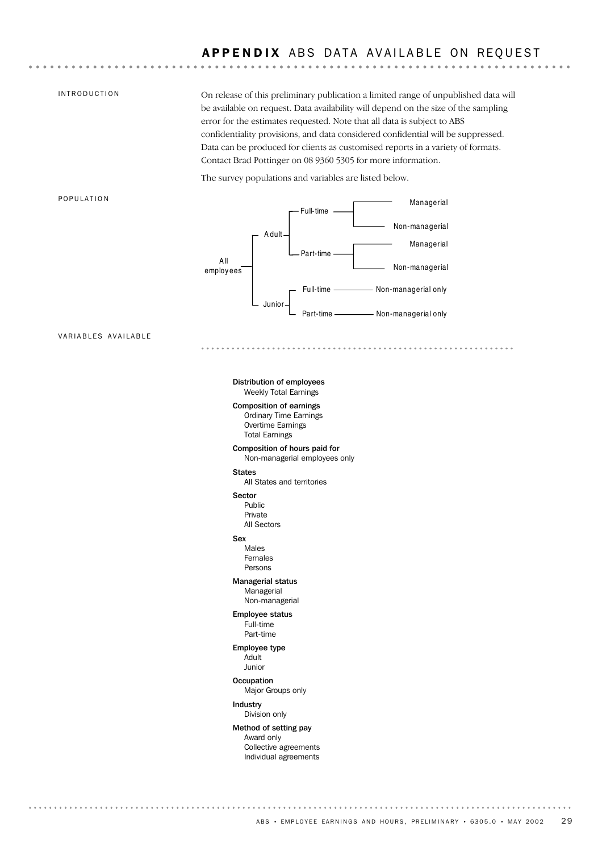### INTRODUCTION

On release of this preliminary publication a limited range of unpublished data will be available on request. Data availability will depend on the size of the sampling error for the estimates requested. Note that all data is subject to ABS confidentiality provisions, and data considered confidential will be suppressed. Data can be produced for clients as customised reports in a variety of formats. Contact Brad Pottinger on 08 9360 5305 for more information.

The survey populations and variables are listed below.

#### POPULATION



VARIABLES AVAILABLE

#### Weekly Total Earnings Distribution of employees

Total Earnings Overtime Earnings Ordinary Time Earnings Composition of earnings

### Non-managerial employees only Composition of hours paid for

### States

All States and territories

### Sector

All Sectors Private Public

### Sex

Persons Females Males

### Managerial Managerial status

Employee status Non-managerial

#### Part-time Full-time

Adult Employee type

### Junior

**Occupation** 

### Major Groups only

Division only Industry

### Method of setting pay

Individual agreements Collective agreements Award only

. . . . . . . . . . . .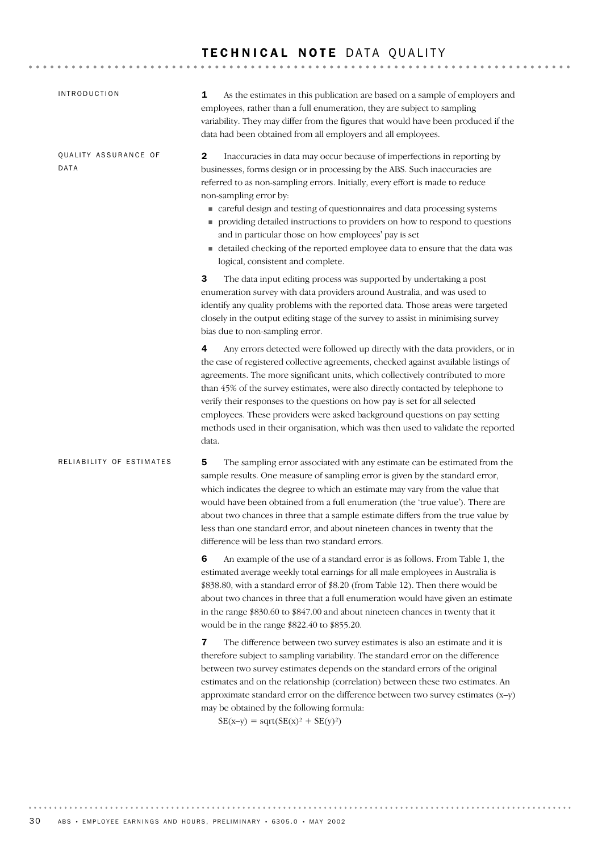### TECHNICAL NOTE DATA OUALITY

5 The sampling error associated with any estimate can be estimated from the sample results. One measure of sampling error is given by the standard error, which indicates the degree to which an estimate may vary from the value that would have been obtained from a full enumeration (the 'true value'). There are about two chances in three that a sample estimate differs from the true value by less than one standard error, and about nineteen chances in twenty that the difference will be less than two standard errors. 6 An example of the use of a standard error is as follows. From Table 1, the estimated average weekly total earnings for all male employees in Australia is \$838.80, with a standard error of \$8.20 (from Table 12). Then there would be about two chances in three that a full enumeration would have given an estimate in the range \$830.60 to \$847.00 and about nineteen chances in twenty that it would be in the range \$822.40 to \$855.20. **7** The difference between two survey estimates is also an estimate and it is RELIABILITY OF ESTIMATES 2 Inaccuracies in data may occur because of imperfections in reporting by businesses, forms design or in processing by the ABS. Such inaccuracies are referred to as non-sampling errors. Initially, every effort is made to reduce non-sampling error by: careful design and testing of questionnaires and data processing systems providing detailed instructions to providers on how to respond to questions and in particular those on how employees' pay is set detailed checking of the reported employee data to ensure that the data was logical, consistent and complete. **3** The data input editing process was supported by undertaking a post enumeration survey with data providers around Australia, and was used to identify any quality problems with the reported data. Those areas were targeted closely in the output editing stage of the survey to assist in minimising survey bias due to non-sampling error. 4 Any errors detected were followed up directly with the data providers, or in the case of registered collective agreements, checked against available listings of agreements. The more significant units, which collectively contributed to more than 45% of the survey estimates, were also directly contacted by telephone to verify their responses to the questions on how pay is set for all selected employees. These providers were asked background questions on pay setting methods used in their organisation, which was then used to validate the reported data. QUALITY ASSURANCE OF DATA 1 As the estimates in this publication are based on a sample of employers and employees, rather than a full enumeration, they are subject to sampling variability. They may differ from the figures that would have been produced if the data had been obtained from all employers and all employees. INTRODUCTION

therefore subject to sampling variability. The standard error on the difference between two survey estimates depends on the standard errors of the original estimates and on the relationship (correlation) between these two estimates. An approximate standard error on the difference between two survey estimates  $(x-y)$ may be obtained by the following formula:

 $SE(x-y) = sqrt(SE(x)^2 + SE(y)^2)$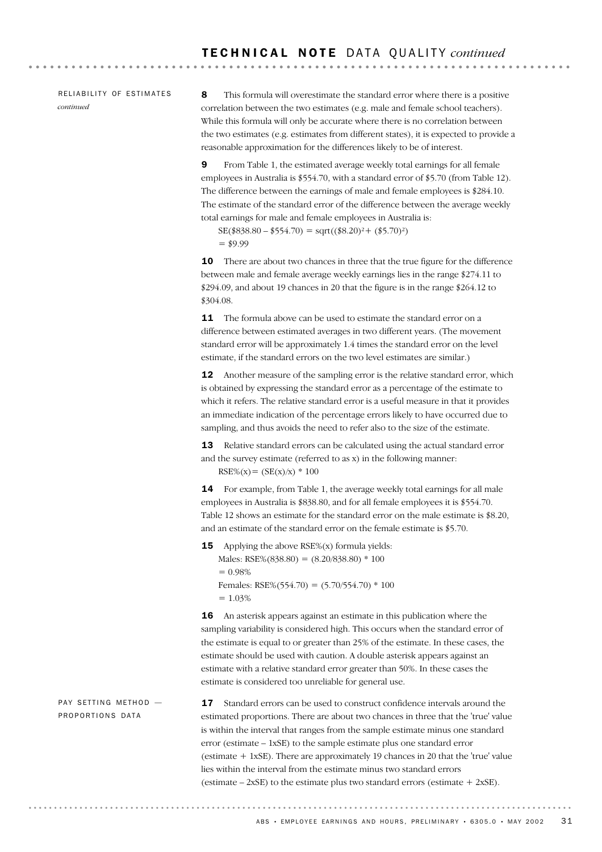RELIABILITY OF ESTIMATES *continued*

8 This formula will overestimate the standard error where there is a positive correlation between the two estimates (e.g. male and female school teachers). While this formula will only be accurate where there is no correlation between the two estimates (e.g. estimates from different states), it is expected to provide a reasonable approximation for the differences likely to be of interest.

9 From Table 1, the estimated average weekly total earnings for all female employees in Australia is \$554.70, with a standard error of \$5.70 (from Table 12). The difference between the earnings of male and female employees is \$284.10. The estimate of the standard error of the difference between the average weekly total earnings for male and female employees in Australia is:

 $SE(\$38.80 - \$554.70) = sqrt((\$8.20)^{2} + (\$5.70)^{2})$  $= $9.99$ 

10 There are about two chances in three that the true figure for the difference between male and female average weekly earnings lies in the range \$274.11 to \$294.09, and about 19 chances in 20 that the figure is in the range \$264.12 to \$304.08.

**11** The formula above can be used to estimate the standard error on a difference between estimated averages in two different years. (The movement standard error will be approximately 1.4 times the standard error on the level estimate, if the standard errors on the two level estimates are similar.)

12 Another measure of the sampling error is the relative standard error, which is obtained by expressing the standard error as a percentage of the estimate to which it refers. The relative standard error is a useful measure in that it provides an immediate indication of the percentage errors likely to have occurred due to sampling, and thus avoids the need to refer also to the size of the estimate.

13 Relative standard errors can be calculated using the actual standard error and the survey estimate (referred to as x) in the following manner:  $RSE\%(x) = (SE(x)/x) * 100$ 

14 For example, from Table 1, the average weekly total earnings for all male employees in Australia is \$838.80, and for all female employees it is \$554.70. Table 12 shows an estimate for the standard error on the male estimate is \$8.20, and an estimate of the standard error on the female estimate is \$5.70.

**15** Applying the above  $RSE\%$ (x) formula yields: Males:  $RSE\%$ (838.80) = (8.20/838.80) \* 100  $= 0.98%$ Females: RSE% $(554.70) = (5.70/554.70) * 100$  $= 1.03\%$ 

16 An asterisk appears against an estimate in this publication where the sampling variability is considered high. This occurs when the standard error of the estimate is equal to or greater than 25% of the estimate. In these cases, the estimate should be used with caution. A double asterisk appears against an estimate with a relative standard error greater than 50%. In these cases the estimate is considered too unreliable for general use.

PAY SETTING METHOD -PROPORTIONS DATA

17 Standard errors can be used to construct confidence intervals around the estimated proportions. There are about two chances in three that the 'true' value is within the interval that ranges from the sample estimate minus one standard error (estimate – 1xSE) to the sample estimate plus one standard error (estimate + 1xSE). There are approximately 19 chances in 20 that the 'true' value lies within the interval from the estimate minus two standard errors (estimate  $-2xSE$ ) to the estimate plus two standard errors (estimate  $+2xSE$ ).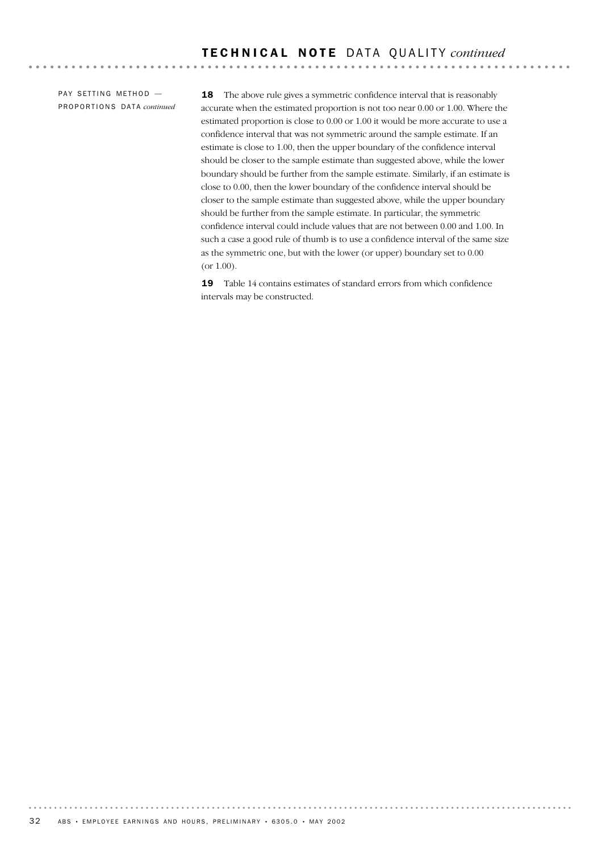PAY SETTING METHOD -PR O P O R T I O N S DA T A *continued*

18 The above rule gives a symmetric confidence interval that is reasonably accurate when the estimated proportion is not too near 0.00 or 1.00. Where the estimated proportion is close to 0.00 or 1.00 it would be more accurate to use a confidence interval that was not symmetric around the sample estimate. If an estimate is close to 1.00, then the upper boundary of the confidence interval should be closer to the sample estimate than suggested above, while the lower boundary should be further from the sample estimate. Similarly, if an estimate is close to 0.00, then the lower boundary of the confidence interval should be closer to the sample estimate than suggested above, while the upper boundary should be further from the sample estimate. In particular, the symmetric confidence interval could include values that are not between 0.00 and 1.00. In such a case a good rule of thumb is to use a confidence interval of the same size as the symmetric one, but with the lower (or upper) boundary set to 0.00 (or 1.00).

19 Table 14 contains estimates of standard errors from which confidence intervals may be constructed.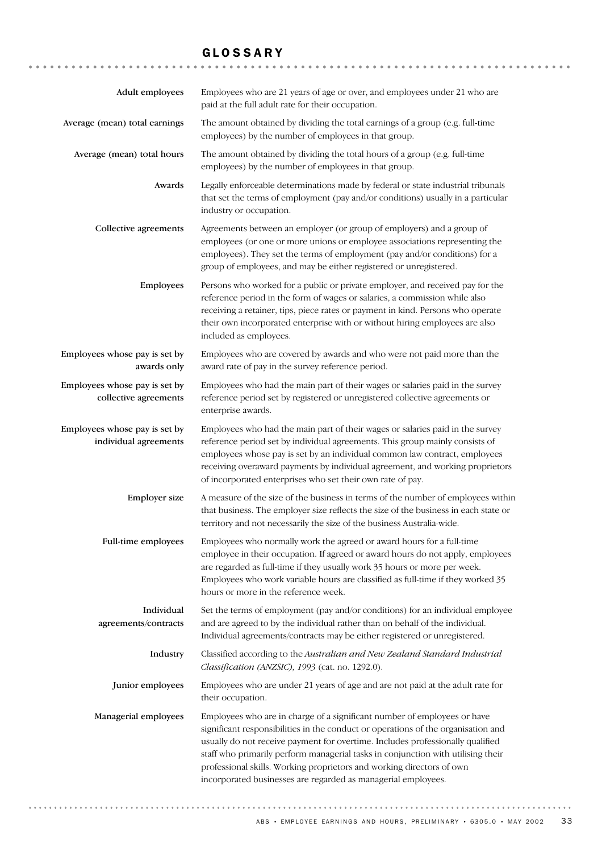## GLOSSARY

| Adult employees                                        | Employees who are 21 years of age or over, and employees under 21 who are<br>paid at the full adult rate for their occupation.                                                                                                                                                                                                                                                                                                                                                |
|--------------------------------------------------------|-------------------------------------------------------------------------------------------------------------------------------------------------------------------------------------------------------------------------------------------------------------------------------------------------------------------------------------------------------------------------------------------------------------------------------------------------------------------------------|
| Average (mean) total earnings                          | The amount obtained by dividing the total earnings of a group (e.g. full-time<br>employees) by the number of employees in that group.                                                                                                                                                                                                                                                                                                                                         |
| Average (mean) total hours                             | The amount obtained by dividing the total hours of a group (e.g. full-time<br>employees) by the number of employees in that group.                                                                                                                                                                                                                                                                                                                                            |
| Awards                                                 | Legally enforceable determinations made by federal or state industrial tribunals<br>that set the terms of employment (pay and/or conditions) usually in a particular<br>industry or occupation.                                                                                                                                                                                                                                                                               |
| Collective agreements                                  | Agreements between an employer (or group of employers) and a group of<br>employees (or one or more unions or employee associations representing the<br>employees). They set the terms of employment (pay and/or conditions) for a<br>group of employees, and may be either registered or unregistered.                                                                                                                                                                        |
| Employees                                              | Persons who worked for a public or private employer, and received pay for the<br>reference period in the form of wages or salaries, a commission while also<br>receiving a retainer, tips, piece rates or payment in kind. Persons who operate<br>their own incorporated enterprise with or without hiring employees are also<br>included as employees.                                                                                                                       |
| Employees whose pay is set by<br>awards only           | Employees who are covered by awards and who were not paid more than the<br>award rate of pay in the survey reference period.                                                                                                                                                                                                                                                                                                                                                  |
| Employees whose pay is set by<br>collective agreements | Employees who had the main part of their wages or salaries paid in the survey<br>reference period set by registered or unregistered collective agreements or<br>enterprise awards.                                                                                                                                                                                                                                                                                            |
| Employees whose pay is set by<br>individual agreements | Employees who had the main part of their wages or salaries paid in the survey<br>reference period set by individual agreements. This group mainly consists of<br>employees whose pay is set by an individual common law contract, employees<br>receiving overaward payments by individual agreement, and working proprietors<br>of incorporated enterprises who set their own rate of pay.                                                                                    |
| Employer size                                          | A measure of the size of the business in terms of the number of employees within<br>that business. The employer size reflects the size of the business in each state or<br>territory and not necessarily the size of the business Australia-wide.                                                                                                                                                                                                                             |
| Full-time employees                                    | Employees who normally work the agreed or award hours for a full-time<br>employee in their occupation. If agreed or award hours do not apply, employees<br>are regarded as full-time if they usually work 35 hours or more per week.<br>Employees who work variable hours are classified as full-time if they worked 35<br>hours or more in the reference week.                                                                                                               |
| Individual<br>agreements/contracts                     | Set the terms of employment (pay and/or conditions) for an individual employee<br>and are agreed to by the individual rather than on behalf of the individual.<br>Individual agreements/contracts may be either registered or unregistered.                                                                                                                                                                                                                                   |
| Industry                                               | Classified according to the Australian and New Zealand Standard Industrial<br>Classification (ANZSIC), 1993 (cat. no. 1292.0).                                                                                                                                                                                                                                                                                                                                                |
| Junior employees                                       | Employees who are under 21 years of age and are not paid at the adult rate for<br>their occupation.                                                                                                                                                                                                                                                                                                                                                                           |
| Managerial employees                                   | Employees who are in charge of a significant number of employees or have<br>significant responsibilities in the conduct or operations of the organisation and<br>usually do not receive payment for overtime. Includes professionally qualified<br>staff who primarily perform managerial tasks in conjunction with utilising their<br>professional skills. Working proprietors and working directors of own<br>incorporated businesses are regarded as managerial employees. |

ABS • EMPLOYEE EARNINGS AND HOURS, PRELIMINARY • 6305.0 • MAY 2002 33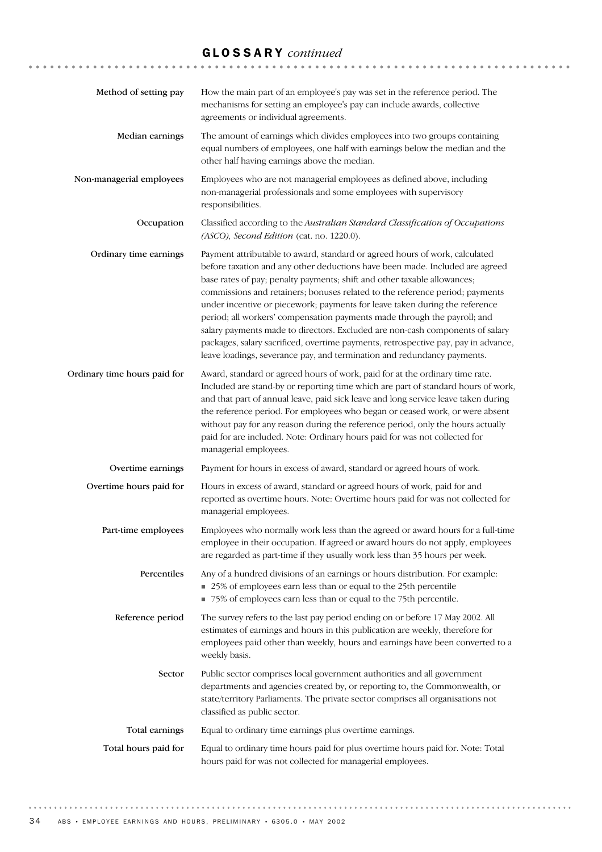# GLOSSARY *continued*

| Method of setting pay        | How the main part of an employee's pay was set in the reference period. The<br>mechanisms for setting an employee's pay can include awards, collective<br>agreements or individual agreements.                                                                                                                                                                                                                                                                                                                                                                                                                                                                                                                                       |
|------------------------------|--------------------------------------------------------------------------------------------------------------------------------------------------------------------------------------------------------------------------------------------------------------------------------------------------------------------------------------------------------------------------------------------------------------------------------------------------------------------------------------------------------------------------------------------------------------------------------------------------------------------------------------------------------------------------------------------------------------------------------------|
| Median earnings              | The amount of earnings which divides employees into two groups containing<br>equal numbers of employees, one half with earnings below the median and the<br>other half having earnings above the median.                                                                                                                                                                                                                                                                                                                                                                                                                                                                                                                             |
| Non-managerial employees     | Employees who are not managerial employees as defined above, including<br>non-managerial professionals and some employees with supervisory<br>responsibilities.                                                                                                                                                                                                                                                                                                                                                                                                                                                                                                                                                                      |
| Occupation                   | Classified according to the Australian Standard Classification of Occupations<br>(ASCO), Second Edition (cat. no. 1220.0).                                                                                                                                                                                                                                                                                                                                                                                                                                                                                                                                                                                                           |
| Ordinary time earnings       | Payment attributable to award, standard or agreed hours of work, calculated<br>before taxation and any other deductions have been made. Included are agreed<br>base rates of pay; penalty payments; shift and other taxable allowances;<br>commissions and retainers; bonuses related to the reference period; payments<br>under incentive or piecework; payments for leave taken during the reference<br>period; all workers' compensation payments made through the payroll; and<br>salary payments made to directors. Excluded are non-cash components of salary<br>packages, salary sacrificed, overtime payments, retrospective pay, pay in advance,<br>leave loadings, severance pay, and termination and redundancy payments. |
| Ordinary time hours paid for | Award, standard or agreed hours of work, paid for at the ordinary time rate.<br>Included are stand-by or reporting time which are part of standard hours of work,<br>and that part of annual leave, paid sick leave and long service leave taken during<br>the reference period. For employees who began or ceased work, or were absent<br>without pay for any reason during the reference period, only the hours actually<br>paid for are included. Note: Ordinary hours paid for was not collected for<br>managerial employees.                                                                                                                                                                                                    |
| Overtime earnings            | Payment for hours in excess of award, standard or agreed hours of work.                                                                                                                                                                                                                                                                                                                                                                                                                                                                                                                                                                                                                                                              |
| Overtime hours paid for      | Hours in excess of award, standard or agreed hours of work, paid for and<br>reported as overtime hours. Note: Overtime hours paid for was not collected for<br>managerial employees.                                                                                                                                                                                                                                                                                                                                                                                                                                                                                                                                                 |
| Part-time employees          | Employees who normally work less than the agreed or award hours for a full-time<br>employee in their occupation. If agreed or award hours do not apply, employees<br>are regarded as part-time if they usually work less than 35 hours per week.                                                                                                                                                                                                                                                                                                                                                                                                                                                                                     |
| Percentiles                  | Any of a hundred divisions of an earnings or hours distribution. For example:<br>25% of employees earn less than or equal to the 25th percentile<br>75% of employees earn less than or equal to the 75th percentile.                                                                                                                                                                                                                                                                                                                                                                                                                                                                                                                 |
| Reference period             | The survey refers to the last pay period ending on or before 17 May 2002. All<br>estimates of earnings and hours in this publication are weekly, therefore for<br>employees paid other than weekly, hours and earnings have been converted to a<br>weekly basis.                                                                                                                                                                                                                                                                                                                                                                                                                                                                     |
| Sector                       | Public sector comprises local government authorities and all government<br>departments and agencies created by, or reporting to, the Commonwealth, or<br>state/territory Parliaments. The private sector comprises all organisations not<br>classified as public sector.                                                                                                                                                                                                                                                                                                                                                                                                                                                             |
| Total earnings               | Equal to ordinary time earnings plus overtime earnings.                                                                                                                                                                                                                                                                                                                                                                                                                                                                                                                                                                                                                                                                              |
| Total hours paid for         | Equal to ordinary time hours paid for plus overtime hours paid for. Note: Total<br>hours paid for was not collected for managerial employees.                                                                                                                                                                                                                                                                                                                                                                                                                                                                                                                                                                                        |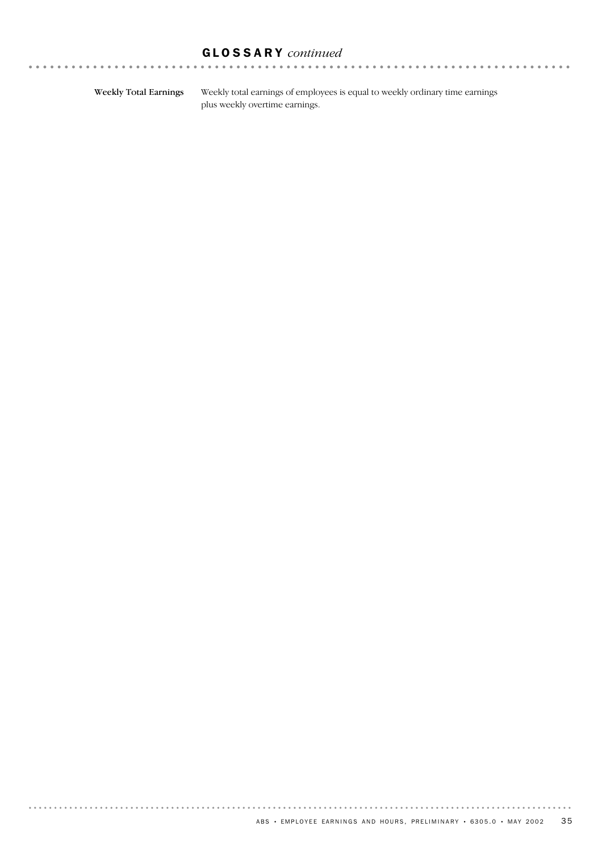# GLOSSARY *continued*

Weekly Total Earnings

 $\sim$ 

. . . . . . . . . . . . . . . .

. . . . . . . . . . .

Weekly total earnings of employees is equal to weekly ordinary time earnings plus weekly overtime earnings.